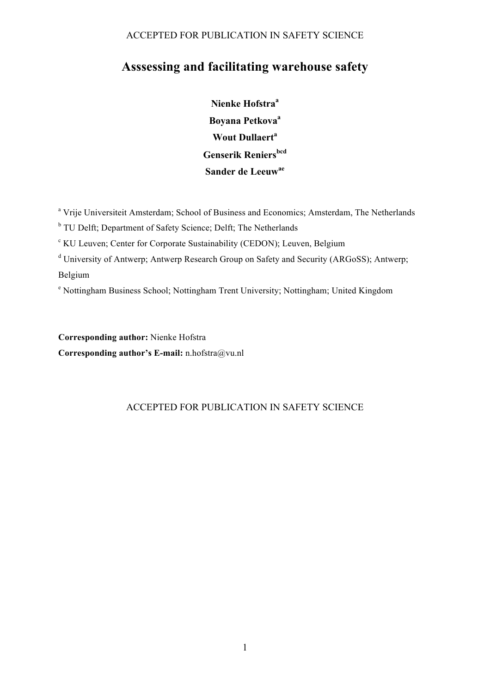# **Asssessing and facilitating warehouse safety**

**Nienke Hofstra<sup>a</sup> Boyana Petkova**<sup>a</sup> **Wout Dullaert<sup>a</sup> Genserik Reniersbcd Sander de Leeuwae**

<sup>a</sup> Vrije Universiteit Amsterdam; School of Business and Economics; Amsterdam, The Netherlands

<sup>b</sup> TU Delft; Department of Safety Science; Delft; The Netherlands

<sup>c</sup> KU Leuven; Center for Corporate Sustainability (CEDON); Leuven, Belgium

<sup>d</sup> University of Antwerp; Antwerp Research Group on Safety and Security (ARGoSS); Antwerp; Belgium

<sup>e</sup> Nottingham Business School; Nottingham Trent University; Nottingham; United Kingdom

**Corresponding author:** Nienke Hofstra **Corresponding author's E-mail:** n.hofstra@vu.nl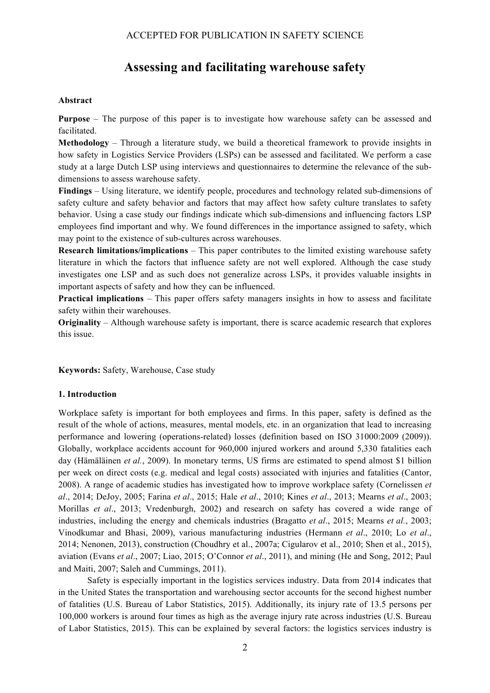# **Assessing and facilitating warehouse safety**

### **Abstract**

**Purpose** – The purpose of this paper is to investigate how warehouse safety can be assessed and facilitated.

**Methodology** – Through a literature study, we build a theoretical framework to provide insights in how safety in Logistics Service Providers (LSPs) can be assessed and facilitated. We perform a case study at a large Dutch LSP using interviews and questionnaires to determine the relevance of the subdimensions to assess warehouse safety.

**Findings** – Using literature, we identify people, procedures and technology related sub-dimensions of safety culture and safety behavior and factors that may affect how safety culture translates to safety behavior. Using a case study our findings indicate which sub-dimensions and influencing factors LSP employees find important and why. We found differences in the importance assigned to safety, which may point to the existence of sub-cultures across warehouses.

**Research limitations/implications** – This paper contributes to the limited existing warehouse safety literature in which the factors that influence safety are not well explored. Although the case study investigates one LSP and as such does not generalize across LSPs, it provides valuable insights in important aspects of safety and how they can be influenced.

**Practical implications** – This paper offers safety managers insights in how to assess and facilitate safety within their warehouses.

**Originality** – Although warehouse safety is important, there is scarce academic research that explores this issue.

**Keywords:** Safety, Warehouse, Case study

### **1. Introduction**

Workplace safety is important for both employees and firms. In this paper, safety is defined as the result of the whole of actions, measures, mental models, etc. in an organization that lead to increasing performance and lowering (operations-related) losses (definition based on ISO 31000:2009 (2009)). Globally, workplace accidents account for 960,000 injured workers and around 5,330 fatalities each day (Hämäläinen *et al.*, 2009). In monetary terms, US firms are estimated to spend almost \$1 billion per week on direct costs (e.g. medical and legal costs) associated with injuries and fatalities (Cantor, 2008). A range of academic studies has investigated how to improve workplace safety (Cornelissen *et al*., 2014; DeJoy, 2005; Farina *et al*., 2015; Hale *et al*., 2010; Kines *et al*., 2013; Mearns *et al*., 2003; Morillas *et al*., 2013; Vredenburgh, 2002) and research on safety has covered a wide range of industries, including the energy and chemicals industries (Bragatto *et al*., 2015; Mearns *et al.*, 2003; Vinodkumar and Bhasi, 2009), various manufacturing industries (Hermann *et al*., 2010; Lo *et al*., 2014; Nenonen, 2013), construction (Choudhry et al., 2007a; Cigularov et al., 2010; Shen et al., 2015), aviation (Evans *et al*., 2007; Liao, 2015; O'Connor *et al*., 2011), and mining (He and Song, 2012; Paul and Maiti, 2007; Saleh and Cummings, 2011).

Safety is especially important in the logistics services industry. Data from 2014 indicates that in the United States the transportation and warehousing sector accounts for the second highest number of fatalities (U.S. Bureau of Labor Statistics, 2015). Additionally, its injury rate of 13.5 persons per 100,000 workers is around four times as high as the average injury rate across industries (U.S. Bureau of Labor Statistics, 2015). This can be explained by several factors: the logistics services industry is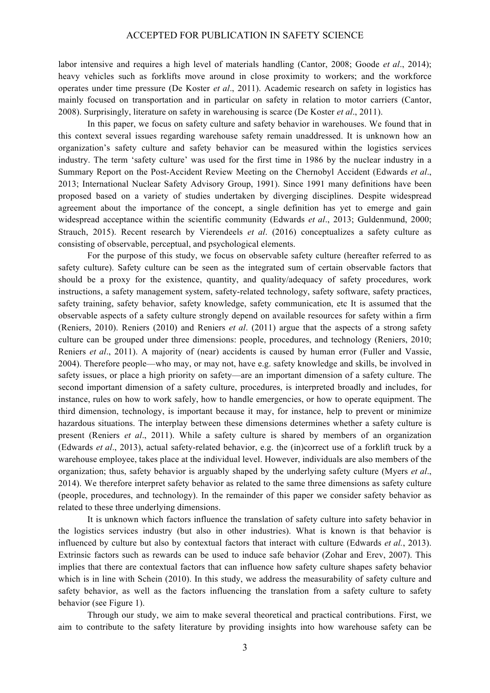labor intensive and requires a high level of materials handling (Cantor, 2008; Goode *et al*., 2014); heavy vehicles such as forklifts move around in close proximity to workers; and the workforce operates under time pressure (De Koster *et al*., 2011). Academic research on safety in logistics has mainly focused on transportation and in particular on safety in relation to motor carriers (Cantor, 2008). Surprisingly, literature on safety in warehousing is scarce (De Koster *et al*., 2011).

In this paper, we focus on safety culture and safety behavior in warehouses. We found that in this context several issues regarding warehouse safety remain unaddressed. It is unknown how an organization's safety culture and safety behavior can be measured within the logistics services industry. The term 'safety culture' was used for the first time in 1986 by the nuclear industry in a Summary Report on the Post-Accident Review Meeting on the Chernobyl Accident (Edwards *et al*., 2013; International Nuclear Safety Advisory Group, 1991). Since 1991 many definitions have been proposed based on a variety of studies undertaken by diverging disciplines. Despite widespread agreement about the importance of the concept, a single definition has yet to emerge and gain widespread acceptance within the scientific community (Edwards *et al*., 2013; Guldenmund, 2000; Strauch, 2015). Recent research by Vierendeels *et al*. (2016) conceptualizes a safety culture as consisting of observable, perceptual, and psychological elements.

For the purpose of this study, we focus on observable safety culture (hereafter referred to as safety culture). Safety culture can be seen as the integrated sum of certain observable factors that should be a proxy for the existence, quantity, and quality/adequacy of safety procedures, work instructions, a safety management system, safety-related technology, safety software, safety practices, safety training, safety behavior, safety knowledge, safety communication, etc It is assumed that the observable aspects of a safety culture strongly depend on available resources for safety within a firm (Reniers, 2010). Reniers (2010) and Reniers *et al*. (2011) argue that the aspects of a strong safety culture can be grouped under three dimensions: people, procedures, and technology (Reniers, 2010; Reniers *et al*., 2011). A majority of (near) accidents is caused by human error (Fuller and Vassie, 2004). Therefore people—who may, or may not, have e.g. safety knowledge and skills, be involved in safety issues, or place a high priority on safety—are an important dimension of a safety culture. The second important dimension of a safety culture, procedures, is interpreted broadly and includes, for instance, rules on how to work safely, how to handle emergencies, or how to operate equipment. The third dimension, technology, is important because it may, for instance, help to prevent or minimize hazardous situations. The interplay between these dimensions determines whether a safety culture is present (Reniers *et al*., 2011). While a safety culture is shared by members of an organization (Edwards *et al*., 2013), actual safety-related behavior, e.g. the (in)correct use of a forklift truck by a warehouse employee, takes place at the individual level. However, individuals are also members of the organization; thus, safety behavior is arguably shaped by the underlying safety culture (Myers *et al*., 2014). We therefore interpret safety behavior as related to the same three dimensions as safety culture (people, procedures, and technology). In the remainder of this paper we consider safety behavior as related to these three underlying dimensions.

It is unknown which factors influence the translation of safety culture into safety behavior in the logistics services industry (but also in other industries). What is known is that behavior is influenced by culture but also by contextual factors that interact with culture (Edwards *et al.*, 2013). Extrinsic factors such as rewards can be used to induce safe behavior (Zohar and Erev, 2007). This implies that there are contextual factors that can influence how safety culture shapes safety behavior which is in line with Schein (2010). In this study, we address the measurability of safety culture and safety behavior, as well as the factors influencing the translation from a safety culture to safety behavior (see Figure 1).

Through our study, we aim to make several theoretical and practical contributions. First, we aim to contribute to the safety literature by providing insights into how warehouse safety can be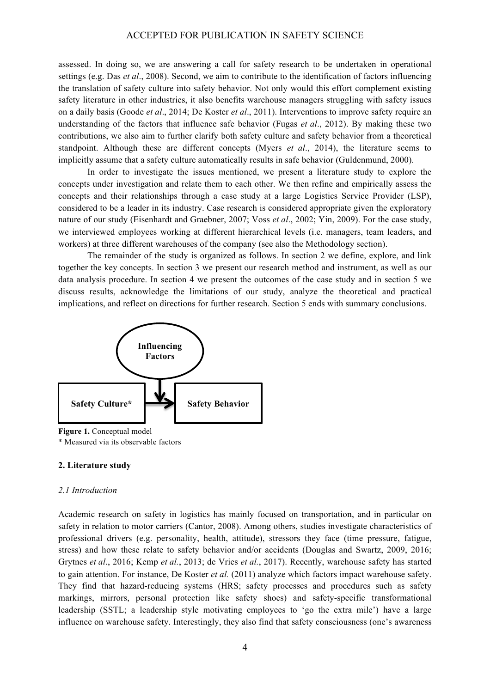assessed. In doing so, we are answering a call for safety research to be undertaken in operational settings (e.g. Das *et al*., 2008). Second, we aim to contribute to the identification of factors influencing the translation of safety culture into safety behavior. Not only would this effort complement existing safety literature in other industries, it also benefits warehouse managers struggling with safety issues on a daily basis (Goode *et al*., 2014; De Koster *et al*., 2011). Interventions to improve safety require an understanding of the factors that influence safe behavior (Fugas *et al*., 2012). By making these two contributions, we also aim to further clarify both safety culture and safety behavior from a theoretical standpoint. Although these are different concepts (Myers *et al*., 2014), the literature seems to implicitly assume that a safety culture automatically results in safe behavior (Guldenmund, 2000).

In order to investigate the issues mentioned, we present a literature study to explore the concepts under investigation and relate them to each other. We then refine and empirically assess the concepts and their relationships through a case study at a large Logistics Service Provider (LSP), considered to be a leader in its industry. Case research is considered appropriate given the exploratory nature of our study (Eisenhardt and Graebner, 2007; Voss *et al*., 2002; Yin, 2009). For the case study, we interviewed employees working at different hierarchical levels (i.e. managers, team leaders, and workers) at three different warehouses of the company (see also the Methodology section).

The remainder of the study is organized as follows. In section 2 we define, explore, and link together the key concepts. In section 3 we present our research method and instrument, as well as our data analysis procedure. In section 4 we present the outcomes of the case study and in section 5 we discuss results, acknowledge the limitations of our study, analyze the theoretical and practical implications, and reflect on directions for further research. Section 5 ends with summary conclusions.



\* Measured via its observable factors

#### **2. Literature study**

#### *2.1 Introduction*

Academic research on safety in logistics has mainly focused on transportation, and in particular on safety in relation to motor carriers (Cantor, 2008). Among others, studies investigate characteristics of professional drivers (e.g. personality, health, attitude), stressors they face (time pressure, fatigue, stress) and how these relate to safety behavior and/or accidents (Douglas and Swartz, 2009, 2016; Grytnes *et al*., 2016; Kemp *et al.*, 2013; de Vries *et al.*, 2017). Recently, warehouse safety has started to gain attention. For instance, De Koster *et al.* (2011) analyze which factors impact warehouse safety. They find that hazard-reducing systems (HRS; safety processes and procedures such as safety markings, mirrors, personal protection like safety shoes) and safety-specific transformational leadership (SSTL; a leadership style motivating employees to 'go the extra mile') have a large influence on warehouse safety. Interestingly, they also find that safety consciousness (one's awareness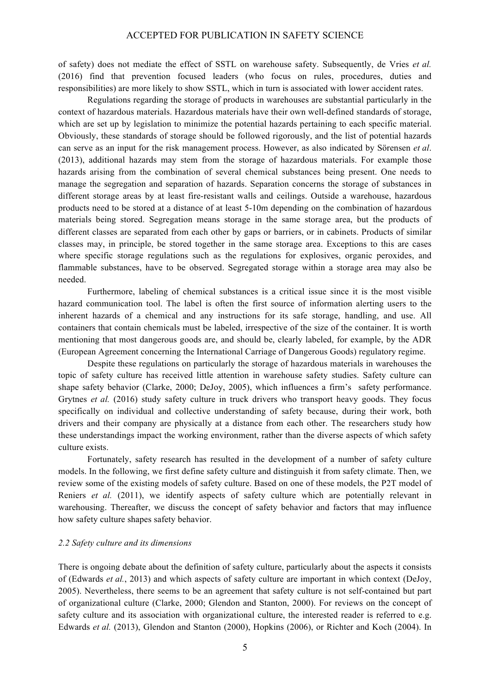of safety) does not mediate the effect of SSTL on warehouse safety. Subsequently, de Vries *et al.* (2016) find that prevention focused leaders (who focus on rules, procedures, duties and responsibilities) are more likely to show SSTL, which in turn is associated with lower accident rates.

Regulations regarding the storage of products in warehouses are substantial particularly in the context of hazardous materials. Hazardous materials have their own well-defined standards of storage, which are set up by legislation to minimize the potential hazards pertaining to each specific material. Obviously, these standards of storage should be followed rigorously, and the list of potential hazards can serve as an input for the risk management process. However, as also indicated by Sörensen *et al*. (2013), additional hazards may stem from the storage of hazardous materials. For example those hazards arising from the combination of several chemical substances being present. One needs to manage the segregation and separation of hazards. Separation concerns the storage of substances in different storage areas by at least fire-resistant walls and ceilings. Outside a warehouse, hazardous products need to be stored at a distance of at least 5-10m depending on the combination of hazardous materials being stored. Segregation means storage in the same storage area, but the products of different classes are separated from each other by gaps or barriers, or in cabinets. Products of similar classes may, in principle, be stored together in the same storage area. Exceptions to this are cases where specific storage regulations such as the regulations for explosives, organic peroxides, and flammable substances, have to be observed. Segregated storage within a storage area may also be needed.

Furthermore, labeling of chemical substances is a critical issue since it is the most visible hazard communication tool. The label is often the first source of information alerting users to the inherent hazards of a chemical and any instructions for its safe storage, handling, and use. All containers that contain chemicals must be labeled, irrespective of the size of the container. It is worth mentioning that most dangerous goods are, and should be, clearly labeled, for example, by the ADR (European Agreement concerning the International Carriage of Dangerous Goods) regulatory regime.

Despite these regulations on particularly the storage of hazardous materials in warehouses the topic of safety culture has received little attention in warehouse safety studies. Safety culture can shape safety behavior (Clarke, 2000; DeJoy, 2005), which influences a firm's safety performance. Grytnes *et al.* (2016) study safety culture in truck drivers who transport heavy goods. They focus specifically on individual and collective understanding of safety because, during their work, both drivers and their company are physically at a distance from each other. The researchers study how these understandings impact the working environment, rather than the diverse aspects of which safety culture exists.

Fortunately, safety research has resulted in the development of a number of safety culture models. In the following, we first define safety culture and distinguish it from safety climate. Then, we review some of the existing models of safety culture. Based on one of these models, the P2T model of Reniers *et al.* (2011), we identify aspects of safety culture which are potentially relevant in warehousing. Thereafter, we discuss the concept of safety behavior and factors that may influence how safety culture shapes safety behavior.

### *2.2 Safety culture and its dimensions*

There is ongoing debate about the definition of safety culture, particularly about the aspects it consists of (Edwards *et al.*, 2013) and which aspects of safety culture are important in which context (DeJoy, 2005). Nevertheless, there seems to be an agreement that safety culture is not self-contained but part of organizational culture (Clarke, 2000; Glendon and Stanton, 2000). For reviews on the concept of safety culture and its association with organizational culture, the interested reader is referred to e.g. Edwards *et al.* (2013), Glendon and Stanton (2000), Hopkins (2006), or Richter and Koch (2004). In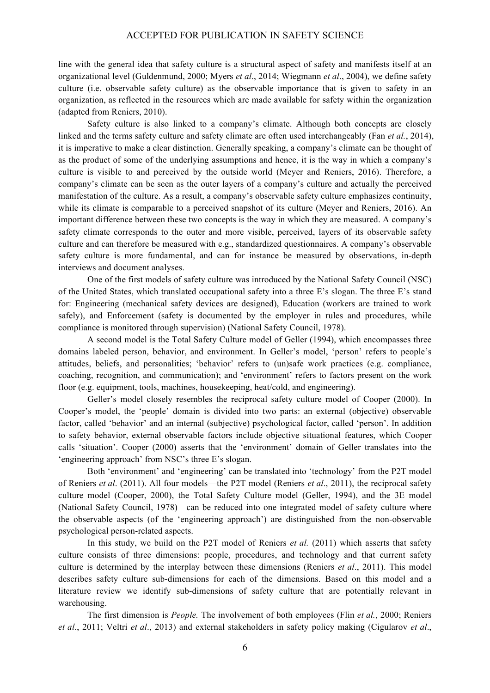line with the general idea that safety culture is a structural aspect of safety and manifests itself at an organizational level (Guldenmund, 2000; Myers *et al*., 2014; Wiegmann *et al*., 2004), we define safety culture (i.e. observable safety culture) as the observable importance that is given to safety in an organization, as reflected in the resources which are made available for safety within the organization (adapted from Reniers, 2010).

Safety culture is also linked to a company's climate. Although both concepts are closely linked and the terms safety culture and safety climate are often used interchangeably (Fan *et al.*, 2014), it is imperative to make a clear distinction. Generally speaking, a company's climate can be thought of as the product of some of the underlying assumptions and hence, it is the way in which a company's culture is visible to and perceived by the outside world (Meyer and Reniers, 2016). Therefore, a company's climate can be seen as the outer layers of a company's culture and actually the perceived manifestation of the culture. As a result, a company's observable safety culture emphasizes continuity, while its climate is comparable to a perceived snapshot of its culture (Meyer and Reniers, 2016). An important difference between these two concepts is the way in which they are measured. A company's safety climate corresponds to the outer and more visible, perceived, layers of its observable safety culture and can therefore be measured with e.g., standardized questionnaires. A company's observable safety culture is more fundamental, and can for instance be measured by observations, in-depth interviews and document analyses.

One of the first models of safety culture was introduced by the National Safety Council (NSC) of the United States, which translated occupational safety into a three E's slogan. The three E's stand for: Engineering (mechanical safety devices are designed), Education (workers are trained to work safely), and Enforcement (safety is documented by the employer in rules and procedures, while compliance is monitored through supervision) (National Safety Council, 1978).

A second model is the Total Safety Culture model of Geller (1994), which encompasses three domains labeled person, behavior, and environment. In Geller's model, 'person' refers to people's attitudes, beliefs, and personalities; 'behavior' refers to (un)safe work practices (e.g. compliance, coaching, recognition, and communication); and 'environment' refers to factors present on the work floor (e.g. equipment, tools, machines, housekeeping, heat/cold, and engineering).

Geller's model closely resembles the reciprocal safety culture model of Cooper (2000). In Cooper's model, the 'people' domain is divided into two parts: an external (objective) observable factor, called 'behavior' and an internal (subjective) psychological factor, called 'person'. In addition to safety behavior, external observable factors include objective situational features, which Cooper calls 'situation'. Cooper (2000) asserts that the 'environment' domain of Geller translates into the 'engineering approach' from NSC's three E's slogan.

Both 'environment' and 'engineering' can be translated into 'technology' from the P2T model of Reniers *et al*. (2011). All four models—the P2T model (Reniers *et al*., 2011), the reciprocal safety culture model (Cooper, 2000), the Total Safety Culture model (Geller, 1994), and the 3E model (National Safety Council, 1978)—can be reduced into one integrated model of safety culture where the observable aspects (of the 'engineering approach') are distinguished from the non-observable psychological person-related aspects.

In this study, we build on the P2T model of Reniers *et al.* (2011) which asserts that safety culture consists of three dimensions: people, procedures, and technology and that current safety culture is determined by the interplay between these dimensions (Reniers *et al*., 2011). This model describes safety culture sub-dimensions for each of the dimensions. Based on this model and a literature review we identify sub-dimensions of safety culture that are potentially relevant in warehousing.

The first dimension is *People.* The involvement of both employees (Flin *et al.*, 2000; Reniers *et al*., 2011; Veltri *et al*., 2013) and external stakeholders in safety policy making (Cigularov *et al*.,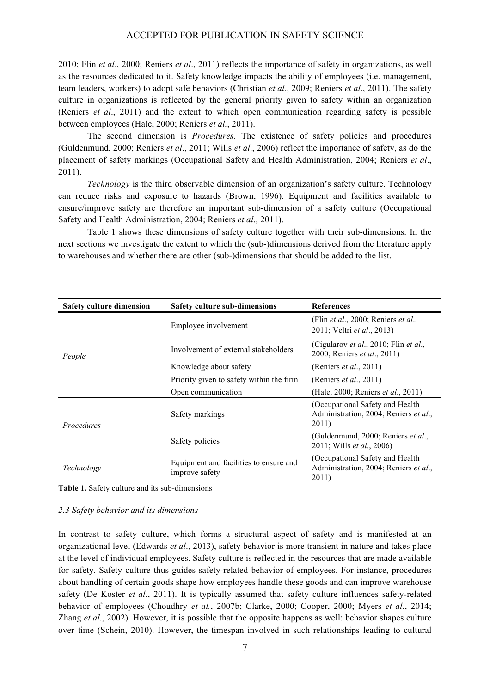2010; Flin *et al*., 2000; Reniers *et al*., 2011) reflects the importance of safety in organizations, as well as the resources dedicated to it. Safety knowledge impacts the ability of employees (i.e. management, team leaders, workers) to adopt safe behaviors (Christian *et al*., 2009; Reniers *et al*., 2011). The safety culture in organizations is reflected by the general priority given to safety within an organization (Reniers *et al*., 2011) and the extent to which open communication regarding safety is possible between employees (Hale, 2000; Reniers *et al.*, 2011).

The second dimension is *Procedures.* The existence of safety policies and procedures (Guldenmund, 2000; Reniers *et al*., 2011; Wills *et al*., 2006) reflect the importance of safety, as do the placement of safety markings (Occupational Safety and Health Administration, 2004; Reniers *et al*., 2011).

*Technology* is the third observable dimension of an organization's safety culture. Technology can reduce risks and exposure to hazards (Brown, 1996). Equipment and facilities available to ensure/improve safety are therefore an important sub-dimension of a safety culture (Occupational Safety and Health Administration, 2004; Reniers *et al*., 2011).

Table 1 shows these dimensions of safety culture together with their sub-dimensions. In the next sections we investigate the extent to which the (sub-)dimensions derived from the literature apply to warehouses and whether there are other (sub-)dimensions that should be added to the list.

| <b>Safety culture dimension</b> | <b>Safety culture sub-dimensions</b>                     | <b>References</b>                                                                         |  |  |
|---------------------------------|----------------------------------------------------------|-------------------------------------------------------------------------------------------|--|--|
|                                 | Employee involvement                                     | (Flin <i>et al.</i> , 2000; Reniers <i>et al.</i> ,<br>2011; Veltri <i>et al.</i> , 2013) |  |  |
| People                          | Involvement of external stakeholders                     | (Cigularov et al., 2010; Flin et al.,<br>2000; Reniers et al., 2011)                      |  |  |
|                                 | Knowledge about safety                                   | (Reniers <i>et al.</i> , 2011)                                                            |  |  |
|                                 | Priority given to safety within the firm                 | (Reniers <i>et al.</i> , 2011)                                                            |  |  |
|                                 | Open communication                                       | (Hale, 2000; Reniers <i>et al.</i> , 2011)                                                |  |  |
| Procedures                      | Safety markings                                          | (Occupational Safety and Health)<br>Administration, 2004; Reniers et al.,<br>2011)        |  |  |
|                                 | Safety policies                                          | (Guldenmund, 2000; Reniers et al.,<br>2011; Wills <i>et al.</i> , 2006)                   |  |  |
| Technology                      | Equipment and facilities to ensure and<br>improve safety | (Occupational Safety and Health<br>Administration, 2004; Reniers et al.,<br>2011)         |  |  |

**Table 1.** Safety culture and its sub-dimensions

### *2.3 Safety behavior and its dimensions*

In contrast to safety culture, which forms a structural aspect of safety and is manifested at an organizational level (Edwards *et al*., 2013), safety behavior is more transient in nature and takes place at the level of individual employees. Safety culture is reflected in the resources that are made available for safety. Safety culture thus guides safety-related behavior of employees. For instance, procedures about handling of certain goods shape how employees handle these goods and can improve warehouse safety (De Koster *et al.*, 2011). It is typically assumed that safety culture influences safety-related behavior of employees (Choudhry *et al.*, 2007b; Clarke, 2000; Cooper, 2000; Myers *et al*., 2014; Zhang *et al.*, 2002). However, it is possible that the opposite happens as well: behavior shapes culture over time (Schein, 2010). However, the timespan involved in such relationships leading to cultural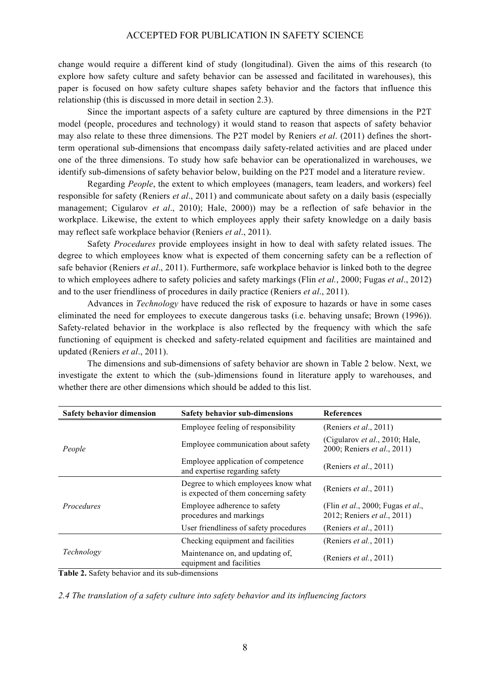change would require a different kind of study (longitudinal). Given the aims of this research (to explore how safety culture and safety behavior can be assessed and facilitated in warehouses), this paper is focused on how safety culture shapes safety behavior and the factors that influence this relationship (this is discussed in more detail in section 2.3).

Since the important aspects of a safety culture are captured by three dimensions in the P2T model (people, procedures and technology) it would stand to reason that aspects of safety behavior may also relate to these three dimensions. The P2T model by Reniers *et al*. (2011) defines the shortterm operational sub-dimensions that encompass daily safety-related activities and are placed under one of the three dimensions. To study how safe behavior can be operationalized in warehouses, we identify sub-dimensions of safety behavior below, building on the P2T model and a literature review.

Regarding *People*, the extent to which employees (managers, team leaders, and workers) feel responsible for safety (Reniers *et al*., 2011) and communicate about safety on a daily basis (especially management; Cigularov *et al*., 2010); Hale, 2000)) may be a reflection of safe behavior in the workplace. Likewise, the extent to which employees apply their safety knowledge on a daily basis may reflect safe workplace behavior (Reniers *et al*., 2011).

Safety *Procedures* provide employees insight in how to deal with safety related issues. The degree to which employees know what is expected of them concerning safety can be a reflection of safe behavior (Reniers *et al*., 2011). Furthermore, safe workplace behavior is linked both to the degree to which employees adhere to safety policies and safety markings (Flin *et al.*, 2000; Fugas *et al*., 2012) and to the user friendliness of procedures in daily practice (Reniers *et al*., 2011).

Advances in *Technology* have reduced the risk of exposure to hazards or have in some cases eliminated the need for employees to execute dangerous tasks (i.e. behaving unsafe; Brown (1996)). Safety-related behavior in the workplace is also reflected by the frequency with which the safe functioning of equipment is checked and safety-related equipment and facilities are maintained and updated (Reniers *et al*., 2011).

The dimensions and sub-dimensions of safety behavior are shown in Table 2 below. Next, we investigate the extent to which the (sub-)dimensions found in literature apply to warehouses, and whether there are other dimensions which should be added to this list.

| <b>Safety behavior dimension</b> | <b>Safety behavior sub-dimensions</b>                                        | <b>References</b>                                                |  |
|----------------------------------|------------------------------------------------------------------------------|------------------------------------------------------------------|--|
|                                  | Employee feeling of responsibility                                           | (Reniers $et al., 2011$ )                                        |  |
| People                           | Employee communication about safety                                          | (Cigularov et al., 2010; Hale,<br>2000; Reniers et al., 2011)    |  |
|                                  | Employee application of competence<br>and expertise regarding safety         | (Reniers $et al., 2011$ )                                        |  |
|                                  | Degree to which employees know what<br>is expected of them concerning safety | (Reniers $et al., 2011$ )                                        |  |
| Procedures                       | Employee adherence to safety<br>procedures and markings                      | (Flin et al., 2000; Fugas et al.,<br>2012; Reniers et al., 2011) |  |
|                                  | User friendliness of safety procedures                                       | (Reniers <i>et al.</i> , 2011)                                   |  |
|                                  | Checking equipment and facilities                                            | (Reniers <i>et al.</i> , 2011)                                   |  |
| Technology                       | Maintenance on, and updating of,<br>equipment and facilities                 | (Reniers <i>et al.</i> , 2011)                                   |  |

**Table 2.** Safety behavior and its sub-dimensions

*2.4 The translation of a safety culture into safety behavior and its influencing factors*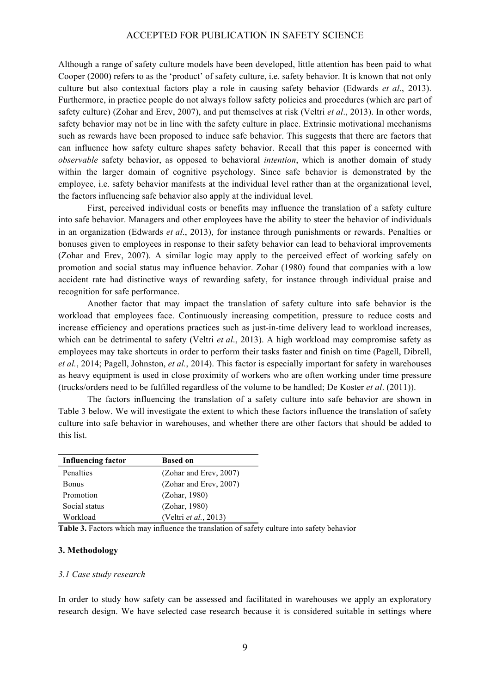Although a range of safety culture models have been developed, little attention has been paid to what Cooper (2000) refers to as the 'product' of safety culture, i.e. safety behavior. It is known that not only culture but also contextual factors play a role in causing safety behavior (Edwards *et al*., 2013). Furthermore, in practice people do not always follow safety policies and procedures (which are part of safety culture) (Zohar and Erev, 2007), and put themselves at risk (Veltri *et al*., 2013). In other words, safety behavior may not be in line with the safety culture in place. Extrinsic motivational mechanisms such as rewards have been proposed to induce safe behavior. This suggests that there are factors that can influence how safety culture shapes safety behavior. Recall that this paper is concerned with *observable* safety behavior, as opposed to behavioral *intention*, which is another domain of study within the larger domain of cognitive psychology. Since safe behavior is demonstrated by the employee, i.e. safety behavior manifests at the individual level rather than at the organizational level, the factors influencing safe behavior also apply at the individual level.

First, perceived individual costs or benefits may influence the translation of a safety culture into safe behavior. Managers and other employees have the ability to steer the behavior of individuals in an organization (Edwards *et al*., 2013), for instance through punishments or rewards. Penalties or bonuses given to employees in response to their safety behavior can lead to behavioral improvements (Zohar and Erev, 2007). A similar logic may apply to the perceived effect of working safely on promotion and social status may influence behavior. Zohar (1980) found that companies with a low accident rate had distinctive ways of rewarding safety, for instance through individual praise and recognition for safe performance.

Another factor that may impact the translation of safety culture into safe behavior is the workload that employees face. Continuously increasing competition, pressure to reduce costs and increase efficiency and operations practices such as just-in-time delivery lead to workload increases, which can be detrimental to safety (Veltri *et al*., 2013). A high workload may compromise safety as employees may take shortcuts in order to perform their tasks faster and finish on time (Pagell, Dibrell, *et al.*, 2014; Pagell, Johnston, *et al.*, 2014). This factor is especially important for safety in warehouses as heavy equipment is used in close proximity of workers who are often working under time pressure (trucks/orders need to be fulfilled regardless of the volume to be handled; De Koster *et al*. (2011)).

The factors influencing the translation of a safety culture into safe behavior are shown in Table 3 below. We will investigate the extent to which these factors influence the translation of safety culture into safe behavior in warehouses, and whether there are other factors that should be added to this list.

| <b>Influencing factor</b> | <b>Based on</b>        |
|---------------------------|------------------------|
| Penalties                 | (Zohar and Erev, 2007) |
| Bonus                     | (Zohar and Erev, 2007) |
| Promotion                 | (Zohar, 1980)          |
| Social status             | (Zohar, 1980)          |
| Workload                  | (Veltri et al., 2013)  |
|                           | munopi tu ani di ta'ee |

**Table 3.** Factors which may influence the translation of safety culture into safety behavior

#### **3. Methodology**

#### *3.1 Case study research*

In order to study how safety can be assessed and facilitated in warehouses we apply an exploratory research design. We have selected case research because it is considered suitable in settings where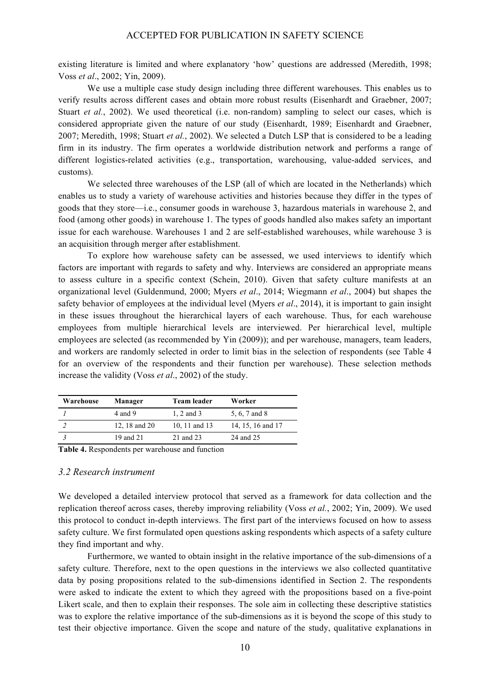existing literature is limited and where explanatory 'how' questions are addressed (Meredith, 1998; Voss *et al*., 2002; Yin, 2009).

We use a multiple case study design including three different warehouses. This enables us to verify results across different cases and obtain more robust results (Eisenhardt and Graebner, 2007; Stuart *et al.*, 2002). We used theoretical (i.e. non-random) sampling to select our cases, which is considered appropriate given the nature of our study (Eisenhardt, 1989; Eisenhardt and Graebner, 2007; Meredith, 1998; Stuart *et al.*, 2002). We selected a Dutch LSP that is considered to be a leading firm in its industry. The firm operates a worldwide distribution network and performs a range of different logistics-related activities (e.g., transportation, warehousing, value-added services, and customs).

We selected three warehouses of the LSP (all of which are located in the Netherlands) which enables us to study a variety of warehouse activities and histories because they differ in the types of goods that they store—i.e., consumer goods in warehouse 3, hazardous materials in warehouse 2, and food (among other goods) in warehouse 1. The types of goods handled also makes safety an important issue for each warehouse. Warehouses 1 and 2 are self-established warehouses, while warehouse 3 is an acquisition through merger after establishment.

To explore how warehouse safety can be assessed, we used interviews to identify which factors are important with regards to safety and why. Interviews are considered an appropriate means to assess culture in a specific context (Schein, 2010). Given that safety culture manifests at an organizational level (Guldenmund, 2000; Myers *et al*., 2014; Wiegmann *et al*., 2004) but shapes the safety behavior of employees at the individual level (Myers *et al*., 2014), it is important to gain insight in these issues throughout the hierarchical layers of each warehouse. Thus, for each warehouse employees from multiple hierarchical levels are interviewed. Per hierarchical level, multiple employees are selected (as recommended by Yin (2009)); and per warehouse, managers, team leaders, and workers are randomly selected in order to limit bias in the selection of respondents (see Table 4 for an overview of the respondents and their function per warehouse). These selection methods increase the validity (Voss *et al*., 2002) of the study.

| Warehouse | Manager       | <b>Team leader</b> | Worker            |
|-----------|---------------|--------------------|-------------------|
|           | 4 and 9       | $1, 2$ and $3$     | 5, 6, 7 and 8     |
|           | 12, 18 and 20 | 10, 11 and 13      | 14, 15, 16 and 17 |
|           | 19 and 21     | 21 and 23          | 24 and 25         |

**Table 4.** Respondents per warehouse and function

#### *3.2 Research instrument*

We developed a detailed interview protocol that served as a framework for data collection and the replication thereof across cases, thereby improving reliability (Voss *et al.*, 2002; Yin, 2009). We used this protocol to conduct in-depth interviews. The first part of the interviews focused on how to assess safety culture. We first formulated open questions asking respondents which aspects of a safety culture they find important and why.

Furthermore, we wanted to obtain insight in the relative importance of the sub-dimensions of a safety culture. Therefore, next to the open questions in the interviews we also collected quantitative data by posing propositions related to the sub-dimensions identified in Section 2. The respondents were asked to indicate the extent to which they agreed with the propositions based on a five-point Likert scale, and then to explain their responses. The sole aim in collecting these descriptive statistics was to explore the relative importance of the sub-dimensions as it is beyond the scope of this study to test their objective importance. Given the scope and nature of the study, qualitative explanations in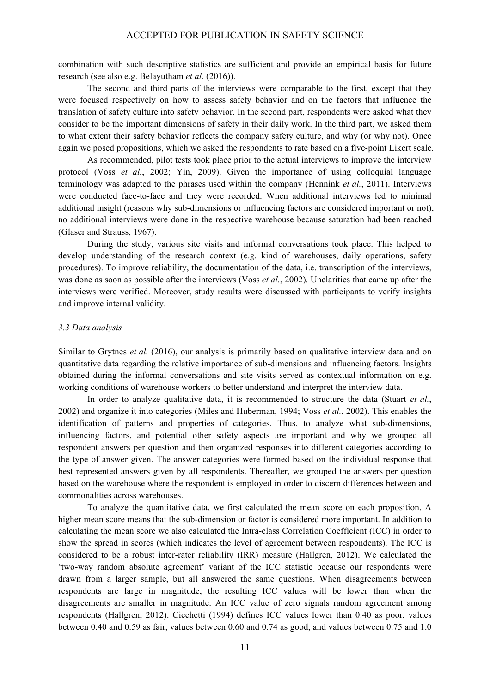combination with such descriptive statistics are sufficient and provide an empirical basis for future research (see also e.g. Belayutham *et al*. (2016)).

The second and third parts of the interviews were comparable to the first, except that they were focused respectively on how to assess safety behavior and on the factors that influence the translation of safety culture into safety behavior. In the second part, respondents were asked what they consider to be the important dimensions of safety in their daily work. In the third part, we asked them to what extent their safety behavior reflects the company safety culture, and why (or why not). Once again we posed propositions, which we asked the respondents to rate based on a five-point Likert scale.

As recommended, pilot tests took place prior to the actual interviews to improve the interview protocol (Voss *et al.*, 2002; Yin, 2009). Given the importance of using colloquial language terminology was adapted to the phrases used within the company (Hennink *et al.*, 2011). Interviews were conducted face-to-face and they were recorded. When additional interviews led to minimal additional insight (reasons why sub-dimensions or influencing factors are considered important or not), no additional interviews were done in the respective warehouse because saturation had been reached (Glaser and Strauss, 1967).

During the study, various site visits and informal conversations took place. This helped to develop understanding of the research context (e.g. kind of warehouses, daily operations, safety procedures). To improve reliability, the documentation of the data, i.e. transcription of the interviews, was done as soon as possible after the interviews (Voss *et al.*, 2002). Unclarities that came up after the interviews were verified. Moreover, study results were discussed with participants to verify insights and improve internal validity.

#### *3.3 Data analysis*

Similar to Grytnes *et al.* (2016), our analysis is primarily based on qualitative interview data and on quantitative data regarding the relative importance of sub-dimensions and influencing factors. Insights obtained during the informal conversations and site visits served as contextual information on e.g. working conditions of warehouse workers to better understand and interpret the interview data.

In order to analyze qualitative data, it is recommended to structure the data (Stuart *et al.*, 2002) and organize it into categories (Miles and Huberman, 1994; Voss *et al.*, 2002). This enables the identification of patterns and properties of categories. Thus, to analyze what sub-dimensions, influencing factors, and potential other safety aspects are important and why we grouped all respondent answers per question and then organized responses into different categories according to the type of answer given. The answer categories were formed based on the individual response that best represented answers given by all respondents. Thereafter, we grouped the answers per question based on the warehouse where the respondent is employed in order to discern differences between and commonalities across warehouses.

To analyze the quantitative data, we first calculated the mean score on each proposition. A higher mean score means that the sub-dimension or factor is considered more important. In addition to calculating the mean score we also calculated the Intra-class Correlation Coefficient (ICC) in order to show the spread in scores (which indicates the level of agreement between respondents). The ICC is considered to be a robust inter-rater reliability (IRR) measure (Hallgren, 2012). We calculated the 'two-way random absolute agreement' variant of the ICC statistic because our respondents were drawn from a larger sample, but all answered the same questions. When disagreements between respondents are large in magnitude, the resulting ICC values will be lower than when the disagreements are smaller in magnitude. An ICC value of zero signals random agreement among respondents (Hallgren, 2012). Cicchetti (1994) defines ICC values lower than 0.40 as poor, values between 0.40 and 0.59 as fair, values between 0.60 and 0.74 as good, and values between 0.75 and 1.0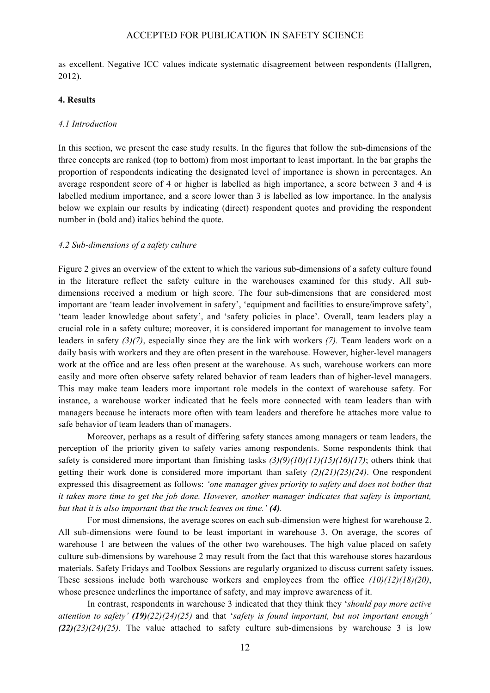as excellent. Negative ICC values indicate systematic disagreement between respondents (Hallgren, 2012).

#### **4. Results**

#### *4.1 Introduction*

In this section, we present the case study results. In the figures that follow the sub-dimensions of the three concepts are ranked (top to bottom) from most important to least important. In the bar graphs the proportion of respondents indicating the designated level of importance is shown in percentages. An average respondent score of 4 or higher is labelled as high importance, a score between 3 and 4 is labelled medium importance, and a score lower than 3 is labelled as low importance. In the analysis below we explain our results by indicating (direct) respondent quotes and providing the respondent number in (bold and) italics behind the quote.

#### *4.2 Sub-dimensions of a safety culture*

Figure 2 gives an overview of the extent to which the various sub-dimensions of a safety culture found in the literature reflect the safety culture in the warehouses examined for this study. All subdimensions received a medium or high score. The four sub-dimensions that are considered most important are 'team leader involvement in safety', 'equipment and facilities to ensure/improve safety', 'team leader knowledge about safety', and 'safety policies in place'. Overall, team leaders play a crucial role in a safety culture; moreover, it is considered important for management to involve team leaders in safety *(3)(7)*, especially since they are the link with workers *(7).* Team leaders work on a daily basis with workers and they are often present in the warehouse. However, higher-level managers work at the office and are less often present at the warehouse. As such, warehouse workers can more easily and more often observe safety related behavior of team leaders than of higher-level managers. This may make team leaders more important role models in the context of warehouse safety. For instance, a warehouse worker indicated that he feels more connected with team leaders than with managers because he interacts more often with team leaders and therefore he attaches more value to safe behavior of team leaders than of managers.

Moreover, perhaps as a result of differing safety stances among managers or team leaders, the perception of the priority given to safety varies among respondents. Some respondents think that safety is considered more important than finishing tasks *(3)(9)(10)(11)(15)(16)(17)*; others think that getting their work done is considered more important than safety *(2)(21)(23)(24)*. One respondent expressed this disagreement as follows: *'one manager gives priority to safety and does not bother that it takes more time to get the job done. However, another manager indicates that safety is important, but that it is also important that the truck leaves on time.' (4).*

For most dimensions, the average scores on each sub-dimension were highest for warehouse 2. All sub-dimensions were found to be least important in warehouse 3. On average, the scores of warehouse 1 are between the values of the other two warehouses. The high value placed on safety culture sub-dimensions by warehouse 2 may result from the fact that this warehouse stores hazardous materials. Safety Fridays and Toolbox Sessions are regularly organized to discuss current safety issues. These sessions include both warehouse workers and employees from the office *(10)(12)(18)(20)*, whose presence underlines the importance of safety, and may improve awareness of it.

In contrast, respondents in warehouse 3 indicated that they think they '*should pay more active attention to safety' (19)(22)(24)(25)* and that '*safety is found important, but not important enough' (22)(23)(24)(25)*. The value attached to safety culture sub-dimensions by warehouse 3 is low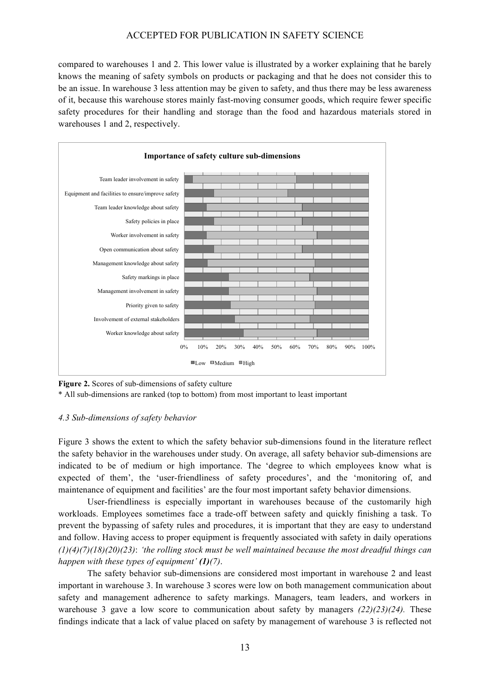compared to warehouses 1 and 2. This lower value is illustrated by a worker explaining that he barely knows the meaning of safety symbols on products or packaging and that he does not consider this to be an issue. In warehouse 3 less attention may be given to safety, and thus there may be less awareness of it, because this warehouse stores mainly fast-moving consumer goods, which require fewer specific safety procedures for their handling and storage than the food and hazardous materials stored in warehouses 1 and 2, respectively.



**Figure 2.** Scores of sub-dimensions of safety culture

\* All sub-dimensions are ranked (top to bottom) from most important to least important

### *4.3 Sub-dimensions of safety behavior*

Figure 3 shows the extent to which the safety behavior sub-dimensions found in the literature reflect the safety behavior in the warehouses under study. On average, all safety behavior sub-dimensions are indicated to be of medium or high importance. The 'degree to which employees know what is expected of them', the 'user-friendliness of safety procedures', and the 'monitoring of, and maintenance of equipment and facilities' are the four most important safety behavior dimensions.

User-friendliness is especially important in warehouses because of the customarily high workloads. Employees sometimes face a trade-off between safety and quickly finishing a task. To prevent the bypassing of safety rules and procedures, it is important that they are easy to understand and follow. Having access to proper equipment is frequently associated with safety in daily operations *(1)(4)(7)(18)(20)(23)*: *'the rolling stock must be well maintained because the most dreadful things can happen with these types of equipment' (1)(7)*.

The safety behavior sub-dimensions are considered most important in warehouse 2 and least important in warehouse 3. In warehouse 3 scores were low on both management communication about safety and management adherence to safety markings. Managers, team leaders, and workers in warehouse 3 gave a low score to communication about safety by managers *(22)(23)(24).* These findings indicate that a lack of value placed on safety by management of warehouse 3 is reflected not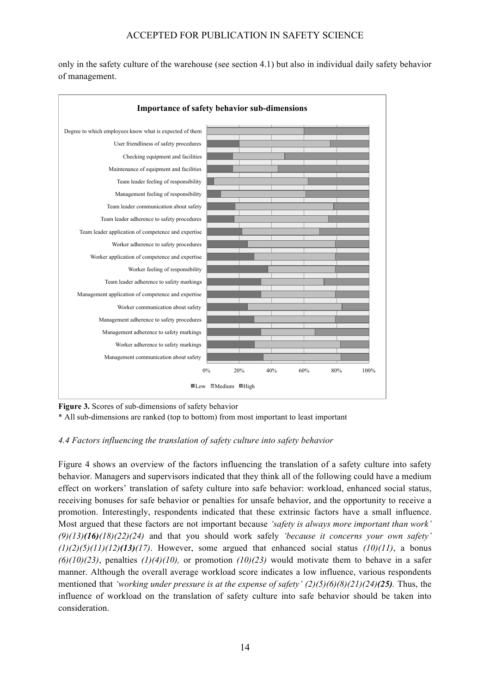only in the safety culture of the warehouse (see section 4.1) but also in individual daily safety behavior of management.



**Figure 3.** Scores of sub-dimensions of safety behavior

\* All sub-dimensions are ranked (top to bottom) from most important to least important

### *4.4 Factors influencing the translation of safety culture into safety behavior*

Figure 4 shows an overview of the factors influencing the translation of a safety culture into safety behavior. Managers and supervisors indicated that they think all of the following could have a medium effect on workers' translation of safety culture into safe behavior: workload, enhanced social status, receiving bonuses for safe behavior or penalties for unsafe behavior, and the opportunity to receive a promotion. Interestingly, respondents indicated that these extrinsic factors have a small influence. Most argued that these factors are not important because *'safety is always more important than work' (9)(13)(16)(18)(22)(24)* and that you should work safely *'because it concerns your own safety'*  $(1)(2)(5)(11)(12)(13)(17)$ . However, some argued that enhanced social status  $(10)(11)$ , a bonus  $(6)(10)(23)$ , penalties  $(1)(4)(10)$ , or promotion  $(10)(23)$  would motivate them to behave in a safer manner. Although the overall average workload score indicates a low influence, various respondents mentioned that *'working under pressure is at the expense of safety' (2)(5)(6)(8)(21)(24)(25).* Thus, the influence of workload on the translation of safety culture into safe behavior should be taken into consideration.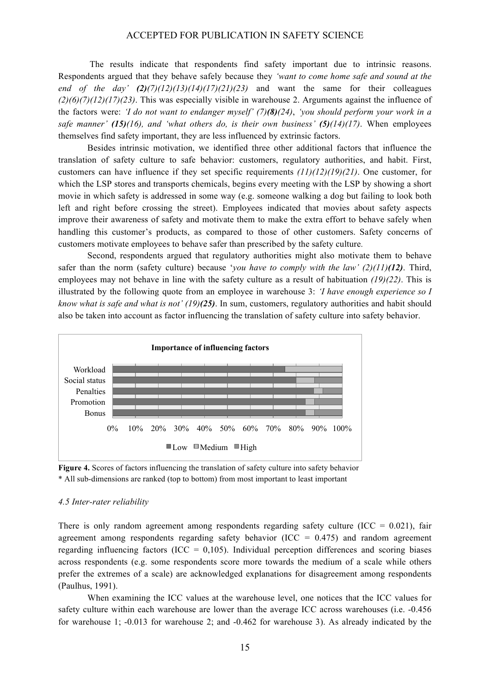The results indicate that respondents find safety important due to intrinsic reasons. Respondents argued that they behave safely because they *'want to come home safe and sound at the end of the day'*  $(2)(7)(12)(13)(14)(17)(21)(23)$  and want the same for their colleagues *(2)(6)(7)(12)(17)(23)*. This was especially visible in warehouse 2. Arguments against the influence of the factors were: *'I do not want to endanger myself' (7)(8)(24)*, *'you should perform your work in a safe manner'* (15)(16), and 'what others do, is their own business'  $(5)(14)(17)$ . When employees themselves find safety important, they are less influenced by extrinsic factors.

Besides intrinsic motivation, we identified three other additional factors that influence the translation of safety culture to safe behavior: customers, regulatory authorities, and habit. First, customers can have influence if they set specific requirements *(11)(12)(19)(21)*. One customer, for which the LSP stores and transports chemicals, begins every meeting with the LSP by showing a short movie in which safety is addressed in some way (e.g. someone walking a dog but failing to look both left and right before crossing the street). Employees indicated that movies about safety aspects improve their awareness of safety and motivate them to make the extra effort to behave safely when handling this customer's products, as compared to those of other customers. Safety concerns of customers motivate employees to behave safer than prescribed by the safety culture.

Second, respondents argued that regulatory authorities might also motivate them to behave safer than the norm (safety culture) because '*you have to comply with the law' (2)(11)(12)*. Third, employees may not behave in line with the safety culture as a result of habituation *(19)(22)*. This is illustrated by the following quote from an employee in warehouse 3: *'I have enough experience so I know what is safe and what is not' (19)(25)*. In sum, customers, regulatory authorities and habit should also be taken into account as factor influencing the translation of safety culture into safety behavior.



**Figure 4.** Scores of factors influencing the translation of safety culture into safety behavior \* All sub-dimensions are ranked (top to bottom) from most important to least important

#### *4.5 Inter-rater reliability*

There is only random agreement among respondents regarding safety culture (ICC =  $0.021$ ), fair agreement among respondents regarding safety behavior ( $ICC = 0.475$ ) and random agreement regarding influencing factors (ICC =  $0,105$ ). Individual perception differences and scoring biases across respondents (e.g. some respondents score more towards the medium of a scale while others prefer the extremes of a scale) are acknowledged explanations for disagreement among respondents (Paulhus, 1991).

When examining the ICC values at the warehouse level, one notices that the ICC values for safety culture within each warehouse are lower than the average ICC across warehouses (i.e. -0.456 for warehouse 1; -0.013 for warehouse 2; and -0.462 for warehouse 3). As already indicated by the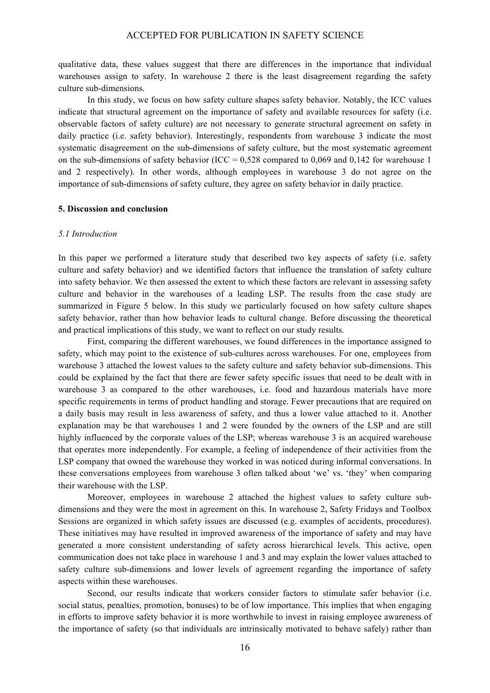qualitative data, these values suggest that there are differences in the importance that individual warehouses assign to safety. In warehouse 2 there is the least disagreement regarding the safety culture sub-dimensions.

In this study, we focus on how safety culture shapes safety behavior. Notably, the ICC values indicate that structural agreement on the importance of safety and available resources for safety (i.e. observable factors of safety culture) are not necessary to generate structural agreement on safety in daily practice (i.e. safety behavior). Interestingly, respondents from warehouse 3 indicate the most systematic disagreement on the sub-dimensions of safety culture, but the most systematic agreement on the sub-dimensions of safety behavior (ICC =  $0.528$  compared to 0,069 and 0,142 for warehouse 1 and 2 respectively). In other words, although employees in warehouse 3 do not agree on the importance of sub-dimensions of safety culture, they agree on safety behavior in daily practice.

#### **5. Discussion and conclusion**

#### *5.1 Introduction*

In this paper we performed a literature study that described two key aspects of safety (i.e. safety culture and safety behavior) and we identified factors that influence the translation of safety culture into safety behavior. We then assessed the extent to which these factors are relevant in assessing safety culture and behavior in the warehouses of a leading LSP. The results from the case study are summarized in Figure 5 below. In this study we particularly focused on how safety culture shapes safety behavior, rather than how behavior leads to cultural change. Before discussing the theoretical and practical implications of this study, we want to reflect on our study results.

First, comparing the different warehouses, we found differences in the importance assigned to safety, which may point to the existence of sub-cultures across warehouses. For one, employees from warehouse 3 attached the lowest values to the safety culture and safety behavior sub-dimensions. This could be explained by the fact that there are fewer safety specific issues that need to be dealt with in warehouse 3 as compared to the other warehouses, i.e. food and hazardous materials have more specific requirements in terms of product handling and storage. Fewer precautions that are required on a daily basis may result in less awareness of safety, and thus a lower value attached to it. Another explanation may be that warehouses 1 and 2 were founded by the owners of the LSP and are still highly influenced by the corporate values of the LSP; whereas warehouse 3 is an acquired warehouse that operates more independently. For example, a feeling of independence of their activities from the LSP company that owned the warehouse they worked in was noticed during informal conversations. In these conversations employees from warehouse 3 often talked about 'we' vs. 'they' when comparing their warehouse with the LSP.

Moreover, employees in warehouse 2 attached the highest values to safety culture subdimensions and they were the most in agreement on this. In warehouse 2, Safety Fridays and Toolbox Sessions are organized in which safety issues are discussed (e.g. examples of accidents, procedures). These initiatives may have resulted in improved awareness of the importance of safety and may have generated a more consistent understanding of safety across hierarchical levels. This active, open communication does not take place in warehouse 1 and 3 and may explain the lower values attached to safety culture sub-dimensions and lower levels of agreement regarding the importance of safety aspects within these warehouses.

Second, our results indicate that workers consider factors to stimulate safer behavior (i.e. social status, penalties, promotion, bonuses) to be of low importance. This implies that when engaging in efforts to improve safety behavior it is more worthwhile to invest in raising employee awareness of the importance of safety (so that individuals are intrinsically motivated to behave safely) rather than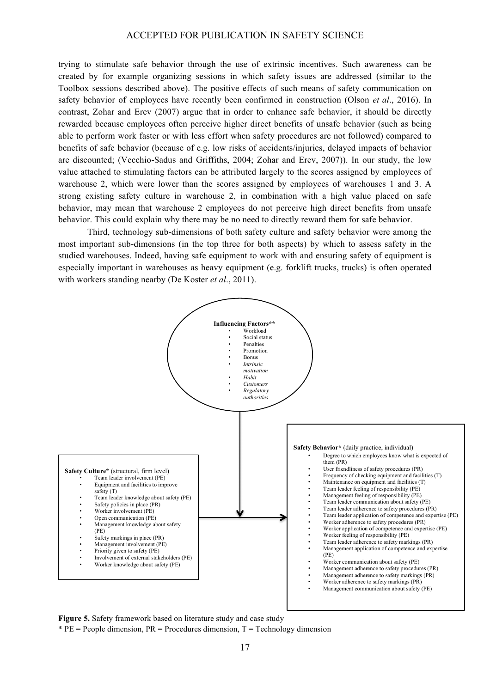trying to stimulate safe behavior through the use of extrinsic incentives. Such awareness can be created by for example organizing sessions in which safety issues are addressed (similar to the Toolbox sessions described above). The positive effects of such means of safety communication on safety behavior of employees have recently been confirmed in construction (Olson *et al*., 2016). In contrast, Zohar and Erev (2007) argue that in order to enhance safe behavior, it should be directly rewarded because employees often perceive higher direct benefits of unsafe behavior (such as being able to perform work faster or with less effort when safety procedures are not followed) compared to benefits of safe behavior (because of e.g. low risks of accidents/injuries, delayed impacts of behavior are discounted; (Vecchio-Sadus and Griffiths, 2004; Zohar and Erev, 2007)). In our study, the low value attached to stimulating factors can be attributed largely to the scores assigned by employees of warehouse 2, which were lower than the scores assigned by employees of warehouses 1 and 3. A strong existing safety culture in warehouse 2, in combination with a high value placed on safe behavior, may mean that warehouse 2 employees do not perceive high direct benefits from unsafe behavior. This could explain why there may be no need to directly reward them for safe behavior.

Third, technology sub-dimensions of both safety culture and safety behavior were among the most important sub-dimensions (in the top three for both aspects) by which to assess safety in the studied warehouses. Indeed, having safe equipment to work with and ensuring safety of equipment is especially important in warehouses as heavy equipment (e.g. forklift trucks, trucks) is often operated with workers standing nearby (De Koster *et al*., 2011).



**Figure 5.** Safety framework based on literature study and case study

 $*$  PE = People dimension, PR = Procedures dimension, T = Technology dimension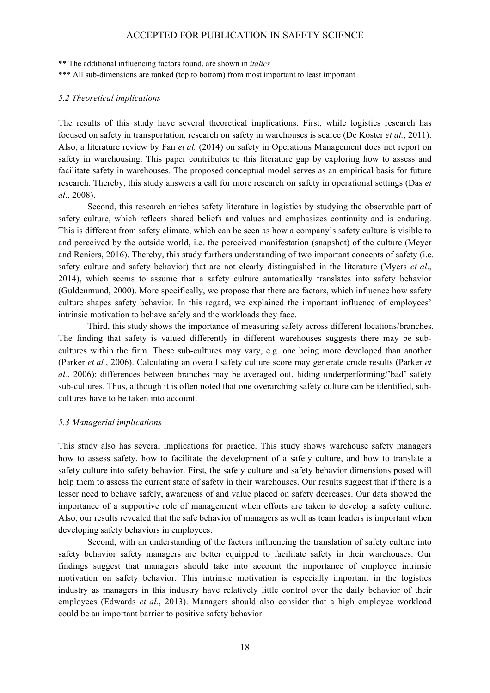\*\* The additional influencing factors found, are shown in *italics*

\*\*\* All sub-dimensions are ranked (top to bottom) from most important to least important

#### *5.2 Theoretical implications*

The results of this study have several theoretical implications. First, while logistics research has focused on safety in transportation, research on safety in warehouses is scarce (De Koster *et al.*, 2011). Also, a literature review by Fan *et al.* (2014) on safety in Operations Management does not report on safety in warehousing. This paper contributes to this literature gap by exploring how to assess and facilitate safety in warehouses. The proposed conceptual model serves as an empirical basis for future research. Thereby, this study answers a call for more research on safety in operational settings (Das *et al*., 2008).

Second, this research enriches safety literature in logistics by studying the observable part of safety culture, which reflects shared beliefs and values and emphasizes continuity and is enduring. This is different from safety climate, which can be seen as how a company's safety culture is visible to and perceived by the outside world, i.e. the perceived manifestation (snapshot) of the culture (Meyer and Reniers, 2016). Thereby, this study furthers understanding of two important concepts of safety (i.e. safety culture and safety behavior) that are not clearly distinguished in the literature (Myers *et al*., 2014), which seems to assume that a safety culture automatically translates into safety behavior (Guldenmund, 2000). More specifically, we propose that there are factors, which influence how safety culture shapes safety behavior. In this regard, we explained the important influence of employees' intrinsic motivation to behave safely and the workloads they face.

Third, this study shows the importance of measuring safety across different locations/branches. The finding that safety is valued differently in different warehouses suggests there may be subcultures within the firm. These sub-cultures may vary, e.g. one being more developed than another (Parker *et al.*, 2006). Calculating an overall safety culture score may generate crude results (Parker *et al.*, 2006): differences between branches may be averaged out, hiding underperforming/'bad' safety sub-cultures. Thus, although it is often noted that one overarching safety culture can be identified, subcultures have to be taken into account.

#### *5.3 Managerial implications*

This study also has several implications for practice. This study shows warehouse safety managers how to assess safety, how to facilitate the development of a safety culture, and how to translate a safety culture into safety behavior. First, the safety culture and safety behavior dimensions posed will help them to assess the current state of safety in their warehouses. Our results suggest that if there is a lesser need to behave safely, awareness of and value placed on safety decreases. Our data showed the importance of a supportive role of management when efforts are taken to develop a safety culture. Also, our results revealed that the safe behavior of managers as well as team leaders is important when developing safety behaviors in employees.

Second, with an understanding of the factors influencing the translation of safety culture into safety behavior safety managers are better equipped to facilitate safety in their warehouses. Our findings suggest that managers should take into account the importance of employee intrinsic motivation on safety behavior. This intrinsic motivation is especially important in the logistics industry as managers in this industry have relatively little control over the daily behavior of their employees (Edwards *et al*., 2013). Managers should also consider that a high employee workload could be an important barrier to positive safety behavior.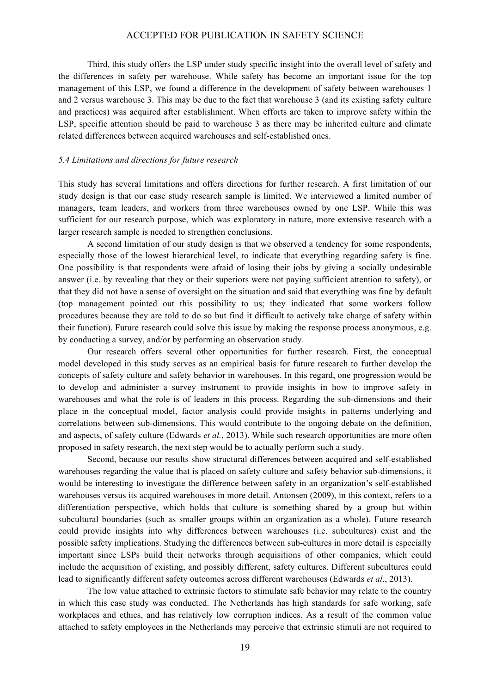Third, this study offers the LSP under study specific insight into the overall level of safety and the differences in safety per warehouse. While safety has become an important issue for the top management of this LSP, we found a difference in the development of safety between warehouses 1 and 2 versus warehouse 3. This may be due to the fact that warehouse 3 (and its existing safety culture and practices) was acquired after establishment. When efforts are taken to improve safety within the LSP, specific attention should be paid to warehouse 3 as there may be inherited culture and climate related differences between acquired warehouses and self-established ones.

### *5.4 Limitations and directions for future research*

This study has several limitations and offers directions for further research. A first limitation of our study design is that our case study research sample is limited. We interviewed a limited number of managers, team leaders, and workers from three warehouses owned by one LSP. While this was sufficient for our research purpose, which was exploratory in nature, more extensive research with a larger research sample is needed to strengthen conclusions.

A second limitation of our study design is that we observed a tendency for some respondents, especially those of the lowest hierarchical level, to indicate that everything regarding safety is fine. One possibility is that respondents were afraid of losing their jobs by giving a socially undesirable answer (i.e. by revealing that they or their superiors were not paying sufficient attention to safety), or that they did not have a sense of oversight on the situation and said that everything was fine by default (top management pointed out this possibility to us; they indicated that some workers follow procedures because they are told to do so but find it difficult to actively take charge of safety within their function). Future research could solve this issue by making the response process anonymous, e.g. by conducting a survey, and/or by performing an observation study.

Our research offers several other opportunities for further research. First, the conceptual model developed in this study serves as an empirical basis for future research to further develop the concepts of safety culture and safety behavior in warehouses. In this regard, one progression would be to develop and administer a survey instrument to provide insights in how to improve safety in warehouses and what the role is of leaders in this process. Regarding the sub-dimensions and their place in the conceptual model, factor analysis could provide insights in patterns underlying and correlations between sub-dimensions. This would contribute to the ongoing debate on the definition, and aspects, of safety culture (Edwards *et al.*, 2013). While such research opportunities are more often proposed in safety research, the next step would be to actually perform such a study.

Second, because our results show structural differences between acquired and self-established warehouses regarding the value that is placed on safety culture and safety behavior sub-dimensions, it would be interesting to investigate the difference between safety in an organization's self-established warehouses versus its acquired warehouses in more detail. Antonsen (2009), in this context, refers to a differentiation perspective, which holds that culture is something shared by a group but within subcultural boundaries (such as smaller groups within an organization as a whole). Future research could provide insights into why differences between warehouses (i.e. subcultures) exist and the possible safety implications. Studying the differences between sub-cultures in more detail is especially important since LSPs build their networks through acquisitions of other companies, which could include the acquisition of existing, and possibly different, safety cultures. Different subcultures could lead to significantly different safety outcomes across different warehouses (Edwards *et al*., 2013).

The low value attached to extrinsic factors to stimulate safe behavior may relate to the country in which this case study was conducted. The Netherlands has high standards for safe working, safe workplaces and ethics, and has relatively low corruption indices. As a result of the common value attached to safety employees in the Netherlands may perceive that extrinsic stimuli are not required to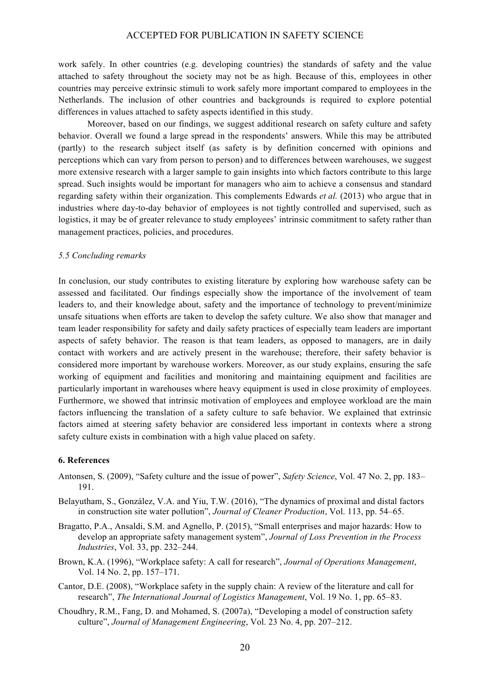work safely. In other countries (e.g. developing countries) the standards of safety and the value attached to safety throughout the society may not be as high. Because of this, employees in other countries may perceive extrinsic stimuli to work safely more important compared to employees in the Netherlands. The inclusion of other countries and backgrounds is required to explore potential differences in values attached to safety aspects identified in this study.

Moreover, based on our findings, we suggest additional research on safety culture and safety behavior. Overall we found a large spread in the respondents' answers. While this may be attributed (partly) to the research subject itself (as safety is by definition concerned with opinions and perceptions which can vary from person to person) and to differences between warehouses, we suggest more extensive research with a larger sample to gain insights into which factors contribute to this large spread. Such insights would be important for managers who aim to achieve a consensus and standard regarding safety within their organization. This complements Edwards *et al.* (2013) who argue that in industries where day-to-day behavior of employees is not tightly controlled and supervised, such as logistics, it may be of greater relevance to study employees' intrinsic commitment to safety rather than management practices, policies, and procedures.

#### *5.5 Concluding remarks*

In conclusion, our study contributes to existing literature by exploring how warehouse safety can be assessed and facilitated. Our findings especially show the importance of the involvement of team leaders to, and their knowledge about, safety and the importance of technology to prevent/minimize unsafe situations when efforts are taken to develop the safety culture. We also show that manager and team leader responsibility for safety and daily safety practices of especially team leaders are important aspects of safety behavior. The reason is that team leaders, as opposed to managers, are in daily contact with workers and are actively present in the warehouse; therefore, their safety behavior is considered more important by warehouse workers. Moreover, as our study explains, ensuring the safe working of equipment and facilities and monitoring and maintaining equipment and facilities are particularly important in warehouses where heavy equipment is used in close proximity of employees. Furthermore, we showed that intrinsic motivation of employees and employee workload are the main factors influencing the translation of a safety culture to safe behavior. We explained that extrinsic factors aimed at steering safety behavior are considered less important in contexts where a strong safety culture exists in combination with a high value placed on safety.

#### **6. References**

- Antonsen, S. (2009), "Safety culture and the issue of power", *Safety Science*, Vol. 47 No. 2, pp. 183– 191.
- Belayutham, S., González, V.A. and Yiu, T.W. (2016), "The dynamics of proximal and distal factors in construction site water pollution", *Journal of Cleaner Production*, Vol. 113, pp. 54–65.
- Bragatto, P.A., Ansaldi, S.M. and Agnello, P. (2015), "Small enterprises and major hazards: How to develop an appropriate safety management system", *Journal of Loss Prevention in the Process Industries*, Vol. 33, pp. 232–244.
- Brown, K.A. (1996), "Workplace safety: A call for research", *Journal of Operations Management*, Vol. 14 No. 2, pp. 157–171.
- Cantor, D.E. (2008), "Workplace safety in the supply chain: A review of the literature and call for research", *The International Journal of Logistics Management*, Vol. 19 No. 1, pp. 65–83.
- Choudhry, R.M., Fang, D. and Mohamed, S. (2007a), "Developing a model of construction safety culture", *Journal of Management Engineering*, Vol. 23 No. 4, pp. 207–212.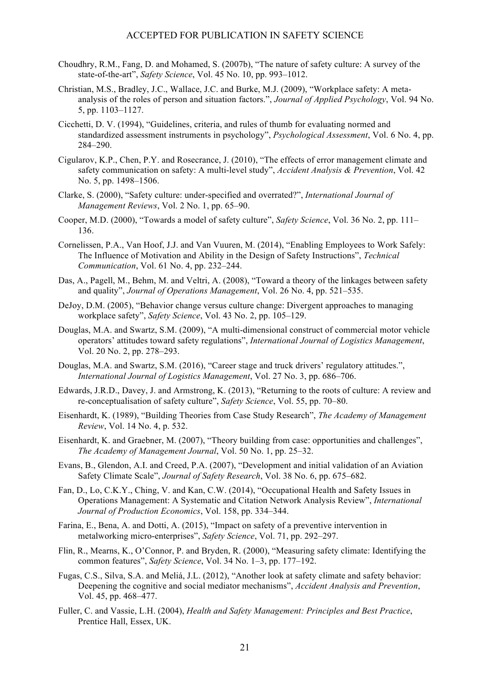- Choudhry, R.M., Fang, D. and Mohamed, S. (2007b), "The nature of safety culture: A survey of the state-of-the-art", *Safety Science*, Vol. 45 No. 10, pp. 993–1012.
- Christian, M.S., Bradley, J.C., Wallace, J.C. and Burke, M.J. (2009), "Workplace safety: A metaanalysis of the roles of person and situation factors.", *Journal of Applied Psychology*, Vol. 94 No. 5, pp. 1103–1127.
- Cicchetti, D. V. (1994), "Guidelines, criteria, and rules of thumb for evaluating normed and standardized assessment instruments in psychology", *Psychological Assessment*, Vol. 6 No. 4, pp. 284–290.
- Cigularov, K.P., Chen, P.Y. and Rosecrance, J. (2010), "The effects of error management climate and safety communication on safety: A multi-level study", *Accident Analysis & Prevention*, Vol. 42 No. 5, pp. 1498–1506.
- Clarke, S. (2000), "Safety culture: under-specified and overrated?", *International Journal of Management Reviews*, Vol. 2 No. 1, pp. 65–90.
- Cooper, M.D. (2000), "Towards a model of safety culture", *Safety Science*, Vol. 36 No. 2, pp. 111– 136.
- Cornelissen, P.A., Van Hoof, J.J. and Van Vuuren, M. (2014), "Enabling Employees to Work Safely: The Influence of Motivation and Ability in the Design of Safety Instructions", *Technical Communication*, Vol. 61 No. 4, pp. 232–244.
- Das, A., Pagell, M., Behm, M. and Veltri, A. (2008), "Toward a theory of the linkages between safety and quality", *Journal of Operations Management*, Vol. 26 No. 4, pp. 521–535.
- DeJoy, D.M. (2005), "Behavior change versus culture change: Divergent approaches to managing workplace safety", *Safety Science*, Vol. 43 No. 2, pp. 105–129.
- Douglas, M.A. and Swartz, S.M. (2009), "A multi-dimensional construct of commercial motor vehicle operators' attitudes toward safety regulations", *International Journal of Logistics Management*, Vol. 20 No. 2, pp. 278–293.
- Douglas, M.A. and Swartz, S.M. (2016), "Career stage and truck drivers' regulatory attitudes.", *International Journal of Logistics Management*, Vol. 27 No. 3, pp. 686–706.
- Edwards, J.R.D., Davey, J. and Armstrong, K. (2013), "Returning to the roots of culture: A review and re-conceptualisation of safety culture", *Safety Science*, Vol. 55, pp. 70–80.
- Eisenhardt, K. (1989), "Building Theories from Case Study Research", *The Academy of Management Review*, Vol. 14 No. 4, p. 532.
- Eisenhardt, K. and Graebner, M. (2007), "Theory building from case: opportunities and challenges", *The Academy of Management Journal*, Vol. 50 No. 1, pp. 25–32.
- Evans, B., Glendon, A.I. and Creed, P.A. (2007), "Development and initial validation of an Aviation Safety Climate Scale", *Journal of Safety Research*, Vol. 38 No. 6, pp. 675–682.
- Fan, D., Lo, C.K.Y., Ching, V. and Kan, C.W. (2014), "Occupational Health and Safety Issues in Operations Management: A Systematic and Citation Network Analysis Review", *International Journal of Production Economics*, Vol. 158, pp. 334–344.
- Farina, E., Bena, A. and Dotti, A. (2015), "Impact on safety of a preventive intervention in metalworking micro-enterprises", *Safety Science*, Vol. 71, pp. 292–297.
- Flin, R., Mearns, K., O'Connor, P. and Bryden, R. (2000), "Measuring safety climate: Identifying the common features", *Safety Science*, Vol. 34 No. 1–3, pp. 177–192.
- Fugas, C.S., Silva, S.A. and Meliá, J.L. (2012), "Another look at safety climate and safety behavior: Deepening the cognitive and social mediator mechanisms", *Accident Analysis and Prevention*, Vol. 45, pp. 468–477.
- Fuller, C. and Vassie, L.H. (2004), *Health and Safety Management: Principles and Best Practice*, Prentice Hall, Essex, UK.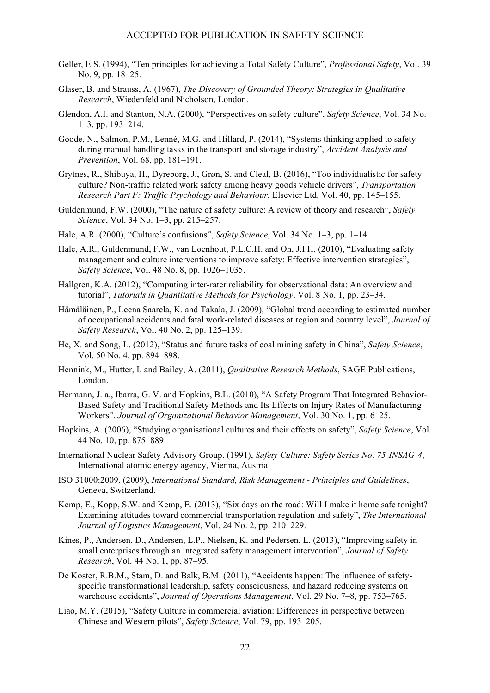- Geller, E.S. (1994), "Ten principles for achieving a Total Safety Culture", *Professional Safety*, Vol. 39 No. 9, pp. 18–25.
- Glaser, B. and Strauss, A. (1967), *The Discovery of Grounded Theory: Strategies in Qualitative Research*, Wiedenfeld and Nicholson, London.
- Glendon, A.I. and Stanton, N.A. (2000), "Perspectives on safety culture", *Safety Science*, Vol. 34 No. 1–3, pp. 193–214.
- Goode, N., Salmon, P.M., Lenné, M.G. and Hillard, P. (2014), "Systems thinking applied to safety during manual handling tasks in the transport and storage industry", *Accident Analysis and Prevention*, Vol. 68, pp. 181–191.
- Grytnes, R., Shibuya, H., Dyreborg, J., Grøn, S. and Cleal, B. (2016), "Too individualistic for safety culture? Non-traffic related work safety among heavy goods vehicle drivers", *Transportation Research Part F: Traffic Psychology and Behaviour*, Elsevier Ltd, Vol. 40, pp. 145–155.
- Guldenmund, F.W. (2000), "The nature of safety culture: A review of theory and research", *Safety Science*, Vol. 34 No. 1–3, pp. 215–257.
- Hale, A.R. (2000), "Culture's confusions", *Safety Science*, Vol. 34 No. 1–3, pp. 1–14.
- Hale, A.R., Guldenmund, F.W., van Loenhout, P.L.C.H. and Oh, J.I.H. (2010), "Evaluating safety management and culture interventions to improve safety: Effective intervention strategies", *Safety Science*, Vol. 48 No. 8, pp. 1026–1035.
- Hallgren, K.A. (2012), "Computing inter-rater reliability for observational data: An overview and tutorial", *Tutorials in Quantitative Methods for Psychology*, Vol. 8 No. 1, pp. 23–34.
- Hämäläinen, P., Leena Saarela, K. and Takala, J. (2009), "Global trend according to estimated number of occupational accidents and fatal work-related diseases at region and country level", *Journal of Safety Research*, Vol. 40 No. 2, pp. 125–139.
- He, X. and Song, L. (2012), "Status and future tasks of coal mining safety in China", *Safety Science*, Vol. 50 No. 4, pp. 894–898.
- Hennink, M., Hutter, I. and Bailey, A. (2011), *Qualitative Research Methods*, SAGE Publications, London.
- Hermann, J. a., Ibarra, G. V. and Hopkins, B.L. (2010), "A Safety Program That Integrated Behavior-Based Safety and Traditional Safety Methods and Its Effects on Injury Rates of Manufacturing Workers", *Journal of Organizational Behavior Management*, Vol. 30 No. 1, pp. 6–25.
- Hopkins, A. (2006), "Studying organisational cultures and their effects on safety", *Safety Science*, Vol. 44 No. 10, pp. 875–889.
- International Nuclear Safety Advisory Group. (1991), *Safety Culture: Safety Series No. 75-INSAG-4*, International atomic energy agency, Vienna, Austria.
- ISO 31000:2009. (2009), *International Standard, Risk Management - Principles and Guidelines*, Geneva, Switzerland.
- Kemp, E., Kopp, S.W. and Kemp, E. (2013), "Six days on the road: Will I make it home safe tonight? Examining attitudes toward commercial transportation regulation and safety", *The International Journal of Logistics Management*, Vol. 24 No. 2, pp. 210–229.
- Kines, P., Andersen, D., Andersen, L.P., Nielsen, K. and Pedersen, L. (2013), "Improving safety in small enterprises through an integrated safety management intervention", *Journal of Safety Research*, Vol. 44 No. 1, pp. 87–95.
- De Koster, R.B.M., Stam, D. and Balk, B.M. (2011), "Accidents happen: The influence of safetyspecific transformational leadership, safety consciousness, and hazard reducing systems on warehouse accidents", *Journal of Operations Management*, Vol. 29 No. 7–8, pp. 753–765.
- Liao, M.Y. (2015), "Safety Culture in commercial aviation: Differences in perspective between Chinese and Western pilots", *Safety Science*, Vol. 79, pp. 193–205.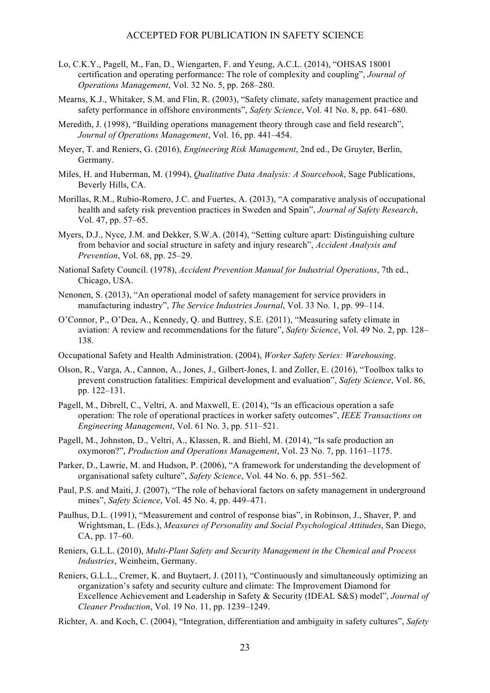- Lo, C.K.Y., Pagell, M., Fan, D., Wiengarten, F. and Yeung, A.C.L. (2014), "OHSAS 18001 certification and operating performance: The role of complexity and coupling", *Journal of Operations Management*, Vol. 32 No. 5, pp. 268–280.
- Mearns, K.J., Whitaker, S.M. and Flin, R. (2003), "Safety climate, safety management practice and safety performance in offshore environments", *Safety Science*, Vol. 41 No. 8, pp. 641–680.
- Meredith, J. (1998), "Building operations management theory through case and field research", *Journal of Operations Management*, Vol. 16, pp. 441–454.
- Meyer, T. and Reniers, G. (2016), *Engineering Risk Management*, 2nd ed., De Gruyter, Berlin, Germany.
- Miles, H. and Huberman, M. (1994), *Qualitative Data Analysis: A Sourcebook*, Sage Publications, Beverly Hills, CA.
- Morillas, R.M., Rubio-Romero, J.C. and Fuertes, A. (2013), "A comparative analysis of occupational health and safety risk prevention practices in Sweden and Spain", *Journal of Safety Research*, Vol. 47, pp. 57–65.
- Myers, D.J., Nyce, J.M. and Dekker, S.W.A. (2014), "Setting culture apart: Distinguishing culture from behavior and social structure in safety and injury research", *Accident Analysis and Prevention*, Vol. 68, pp. 25–29.
- National Safety Council. (1978), *Accident Prevention Manual for Industrial Operations*, 7th ed., Chicago, USA.
- Nenonen, S. (2013), "An operational model of safety management for service providers in manufacturing industry", *The Service Industries Journal*, Vol. 33 No. 1, pp. 99–114.
- O'Connor, P., O'Dea, A., Kennedy, Q. and Buttrey, S.E. (2011), "Measuring safety climate in aviation: A review and recommendations for the future", *Safety Science*, Vol. 49 No. 2, pp. 128– 138.
- Occupational Safety and Health Administration. (2004), *Worker Safety Series: Warehousing*.
- Olson, R., Varga, A., Cannon, A., Jones, J., Gilbert-Jones, I. and Zoller, E. (2016), "Toolbox talks to prevent construction fatalities: Empirical development and evaluation", *Safety Science*, Vol. 86, pp. 122–131.
- Pagell, M., Dibrell, C., Veltri, A. and Maxwell, E. (2014), "Is an efficacious operation a safe operation: The role of operational practices in worker safety outcomes", *IEEE Transactions on Engineering Management*, Vol. 61 No. 3, pp. 511–521.
- Pagell, M., Johnston, D., Veltri, A., Klassen, R. and Biehl, M. (2014), "Is safe production an oxymoron?", *Production and Operations Management*, Vol. 23 No. 7, pp. 1161–1175.
- Parker, D., Lawrie, M. and Hudson, P. (2006), "A framework for understanding the development of organisational safety culture", *Safety Science*, Vol. 44 No. 6, pp. 551–562.
- Paul, P.S. and Maiti, J. (2007), "The role of behavioral factors on safety management in underground mines", *Safety Science*, Vol. 45 No. 4, pp. 449–471.
- Paulhus, D.L. (1991), "Measurement and control of response bias", in Robinson, J., Shaver, P. and Wrightsman, L. (Eds.), *Measures of Personality and Social Psychological Attitudes*, San Diego, CA, pp. 17–60.
- Reniers, G.L.L. (2010), *Multi-Plant Safety and Security Management in the Chemical and Process Industries*, Weinheim, Germany.
- Reniers, G.L.L., Cremer, K. and Buytaert, J. (2011), "Continuously and simultaneously optimizing an organization's safety and security culture and climate: The Improvement Diamond for Excellence Achievement and Leadership in Safety & Security (IDEAL S&S) model", *Journal of Cleaner Production*, Vol. 19 No. 11, pp. 1239–1249.
- Richter, A. and Koch, C. (2004), "Integration, differentiation and ambiguity in safety cultures", *Safety*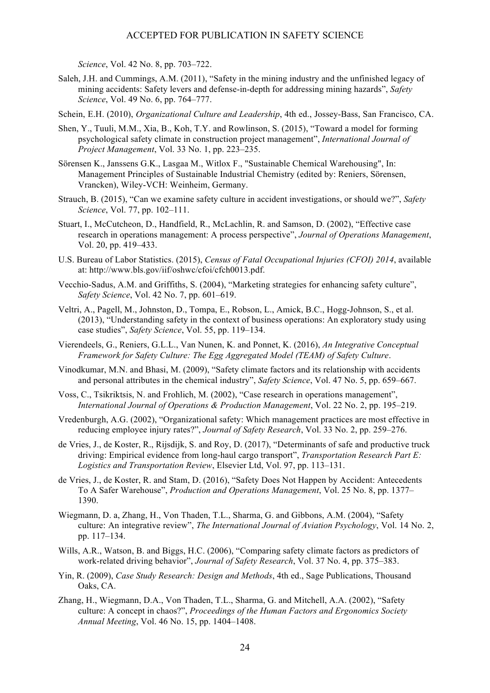*Science*, Vol. 42 No. 8, pp. 703–722.

Saleh, J.H. and Cummings, A.M. (2011), "Safety in the mining industry and the unfinished legacy of mining accidents: Safety levers and defense-in-depth for addressing mining hazards", *Safety Science*, Vol. 49 No. 6, pp. 764–777.

Schein, E.H. (2010), *Organizational Culture and Leadership*, 4th ed., Jossey-Bass, San Francisco, CA.

- Shen, Y., Tuuli, M.M., Xia, B., Koh, T.Y. and Rowlinson, S. (2015), "Toward a model for forming psychological safety climate in construction project management", *International Journal of Project Management*, Vol. 33 No. 1, pp. 223–235.
- Sörensen K., Janssens G.K., Lasgaa M., Witlox F., "Sustainable Chemical Warehousing", In: Management Principles of Sustainable Industrial Chemistry (edited by: Reniers, Sörensen, Vrancken), Wiley-VCH: Weinheim, Germany.
- Strauch, B. (2015), "Can we examine safety culture in accident investigations, or should we?", *Safety Science*, Vol. 77, pp. 102–111.
- Stuart, I., McCutcheon, D., Handfield, R., McLachlin, R. and Samson, D. (2002), "Effective case research in operations management: A process perspective", *Journal of Operations Management*, Vol. 20, pp. 419–433.
- U.S. Bureau of Labor Statistics. (2015), *Census of Fatal Occupational Injuries (CFOI) 2014*, available at: http://www.bls.gov/iif/oshwc/cfoi/cfch0013.pdf.
- Vecchio-Sadus, A.M. and Griffiths, S. (2004), "Marketing strategies for enhancing safety culture", *Safety Science*, Vol. 42 No. 7, pp. 601–619.
- Veltri, A., Pagell, M., Johnston, D., Tompa, E., Robson, L., Amick, B.C., Hogg-Johnson, S., et al. (2013), "Understanding safety in the context of business operations: An exploratory study using case studies", *Safety Science*, Vol. 55, pp. 119–134.
- Vierendeels, G., Reniers, G.L.L., Van Nunen, K. and Ponnet, K. (2016), *An Integrative Conceptual Framework for Safety Culture: The Egg Aggregated Model (TEAM) of Safety Culture*.
- Vinodkumar, M.N. and Bhasi, M. (2009), "Safety climate factors and its relationship with accidents and personal attributes in the chemical industry", *Safety Science*, Vol. 47 No. 5, pp. 659–667.
- Voss, C., Tsikriktsis, N. and Frohlich, M. (2002), "Case research in operations management", *International Journal of Operations & Production Management*, Vol. 22 No. 2, pp. 195–219.
- Vredenburgh, A.G. (2002), "Organizational safety: Which management practices are most effective in reducing employee injury rates?", *Journal of Safety Research*, Vol. 33 No. 2, pp. 259–276.
- de Vries, J., de Koster, R., Rijsdijk, S. and Roy, D. (2017), "Determinants of safe and productive truck driving: Empirical evidence from long-haul cargo transport", *Transportation Research Part E: Logistics and Transportation Review*, Elsevier Ltd, Vol. 97, pp. 113–131.
- de Vries, J., de Koster, R. and Stam, D. (2016), "Safety Does Not Happen by Accident: Antecedents To A Safer Warehouse", *Production and Operations Management*, Vol. 25 No. 8, pp. 1377– 1390.
- Wiegmann, D. a, Zhang, H., Von Thaden, T.L., Sharma, G. and Gibbons, A.M. (2004), "Safety culture: An integrative review", *The International Journal of Aviation Psychology*, Vol. 14 No. 2, pp. 117–134.
- Wills, A.R., Watson, B. and Biggs, H.C. (2006), "Comparing safety climate factors as predictors of work-related driving behavior", *Journal of Safety Research*, Vol. 37 No. 4, pp. 375–383.
- Yin, R. (2009), *Case Study Research: Design and Methods*, 4th ed., Sage Publications, Thousand Oaks, CA.
- Zhang, H., Wiegmann, D.A., Von Thaden, T.L., Sharma, G. and Mitchell, A.A. (2002), "Safety culture: A concept in chaos?", *Proceedings of the Human Factors and Ergonomics Society Annual Meeting*, Vol. 46 No. 15, pp. 1404–1408.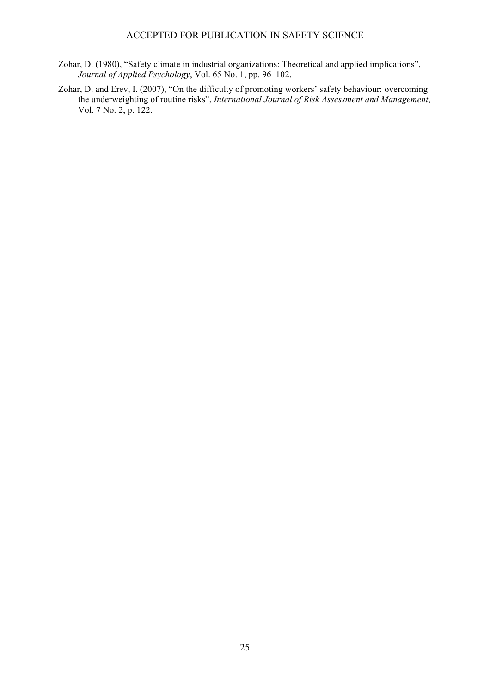- Zohar, D. (1980), "Safety climate in industrial organizations: Theoretical and applied implications", *Journal of Applied Psychology*, Vol. 65 No. 1, pp. 96–102.
- Zohar, D. and Erev, I. (2007), "On the difficulty of promoting workers' safety behaviour: overcoming the underweighting of routine risks", *International Journal of Risk Assessment and Management*, Vol. 7 No. 2, p. 122.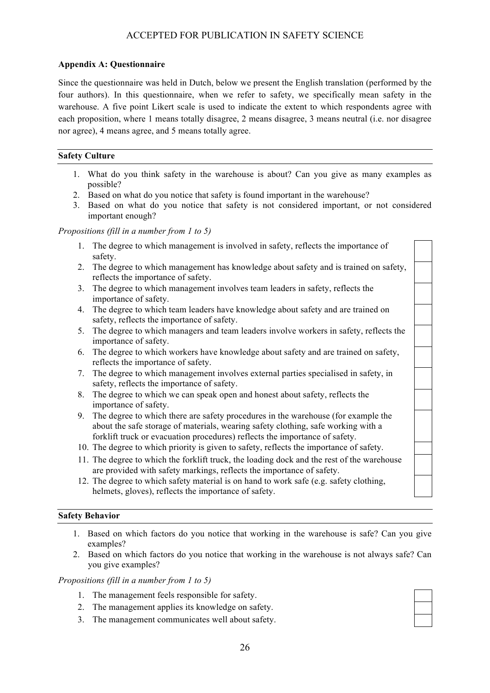### **Appendix A: Questionnaire**

Since the questionnaire was held in Dutch, below we present the English translation (performed by the four authors). In this questionnaire, when we refer to safety, we specifically mean safety in the warehouse. A five point Likert scale is used to indicate the extent to which respondents agree with each proposition, where 1 means totally disagree, 2 means disagree, 3 means neutral (i.e. nor disagree nor agree), 4 means agree, and 5 means totally agree.

### **Safety Culture**

- 1. What do you think safety in the warehouse is about? Can you give as many examples as possible?
- 2. Based on what do you notice that safety is found important in the warehouse?
- 3. Based on what do you notice that safety is not considered important, or not considered important enough?

### *Propositions (fill in a number from 1 to 5)*

- 1. The degree to which management is involved in safety, reflects the importance of safety. 2. The degree to which management has knowledge about safety and is trained on safety,
- reflects the importance of safety.
- 3. The degree to which management involves team leaders in safety, reflects the importance of safety.
- 4. The degree to which team leaders have knowledge about safety and are trained on safety, reflects the importance of safety.
- 5. The degree to which managers and team leaders involve workers in safety, reflects the importance of safety.
- 6. The degree to which workers have knowledge about safety and are trained on safety, reflects the importance of safety.
- 7. The degree to which management involves external parties specialised in safety, in safety, reflects the importance of safety.
- 8. The degree to which we can speak open and honest about safety, reflects the importance of safety.
- 9. The degree to which there are safety procedures in the warehouse (for example the about the safe storage of materials, wearing safety clothing, safe working with a forklift truck or evacuation procedures) reflects the importance of safety.
- 10. The degree to which priority is given to safety, reflects the importance of safety.
- 11. The degree to which the forklift truck, the loading dock and the rest of the warehouse are provided with safety markings, reflects the importance of safety.
- 12. The degree to which safety material is on hand to work safe (e.g. safety clothing, helmets, gloves), reflects the importance of safety.

### **Safety Behavior**

- 1. Based on which factors do you notice that working in the warehouse is safe? Can you give examples?
- 2. Based on which factors do you notice that working in the warehouse is not always safe? Can you give examples?

#### *Propositions (fill in a number from 1 to 5)*

- 1. The management feels responsible for safety.
- 2. The management applies its knowledge on safety.
- 3. The management communicates well about safety.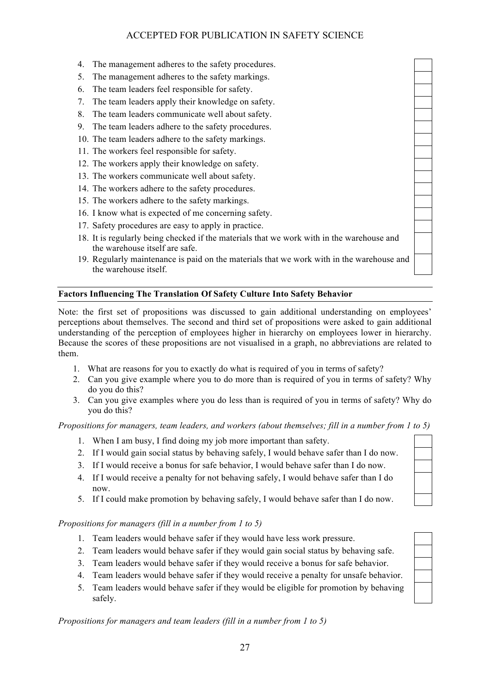- 4. The management adheres to the safety procedures.
- 5. The management adheres to the safety markings.
- 6. The team leaders feel responsible for safety.
- 7. The team leaders apply their knowledge on safety.
- 8. The team leaders communicate well about safety.
- 9. The team leaders adhere to the safety procedures.
- 10. The team leaders adhere to the safety markings.
- 11. The workers feel responsible for safety.
- 12. The workers apply their knowledge on safety.
- 13. The workers communicate well about safety.
- 14. The workers adhere to the safety procedures.
- 15. The workers adhere to the safety markings.
- 16. I know what is expected of me concerning safety.
- 17. Safety procedures are easy to apply in practice.
- 18. It is regularly being checked if the materials that we work with in the warehouse and the warehouse itself are safe.
- 19. Regularly maintenance is paid on the materials that we work with in the warehouse and the warehouse itself.

### **Factors Influencing The Translation Of Safety Culture Into Safety Behavior**

Note: the first set of propositions was discussed to gain additional understanding on employees' perceptions about themselves. The second and third set of propositions were asked to gain additional understanding of the perception of employees higher in hierarchy on employees lower in hierarchy. Because the scores of these propositions are not visualised in a graph, no abbreviations are related to them.

- 1. What are reasons for you to exactly do what is required of you in terms of safety?
- 2. Can you give example where you to do more than is required of you in terms of safety? Why do you do this?
- 3. Can you give examples where you do less than is required of you in terms of safety? Why do you do this?

*Propositions for managers, team leaders, and workers (about themselves; fill in a number from 1 to 5)*

- 1. When I am busy, I find doing my job more important than safety.
- 2. If I would gain social status by behaving safely, I would behave safer than I do now.
- 3. If I would receive a bonus for safe behavior, I would behave safer than I do now.
- 4. If I would receive a penalty for not behaving safely, I would behave safer than I do now.
- 5. If I could make promotion by behaving safely, I would behave safer than I do now.

### *Propositions for managers (fill in a number from 1 to 5)*

- 1. Team leaders would behave safer if they would have less work pressure.
- 2. Team leaders would behave safer if they would gain social status by behaving safe.
- 3. Team leaders would behave safer if they would receive a bonus for safe behavior.
- 4. Team leaders would behave safer if they would receive a penalty for unsafe behavior.
- 5. Team leaders would behave safer if they would be eligible for promotion by behaving safely.

*Propositions for managers and team leaders (fill in a number from 1 to 5)*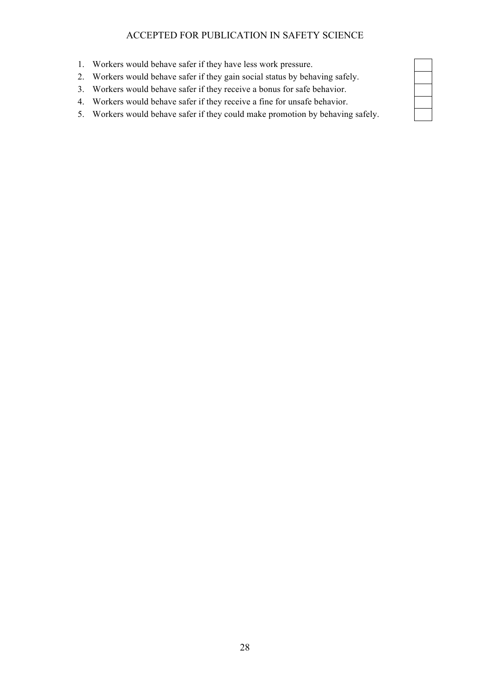- 1. Workers would behave safer if they have less work pressure.
- 2. Workers would behave safer if they gain social status by behaving safely.
- 3. Workers would behave safer if they receive a bonus for safe behavior.
- 4. Workers would behave safer if they receive a fine for unsafe behavior.
- 5. Workers would behave safer if they could make promotion by behaving safely.

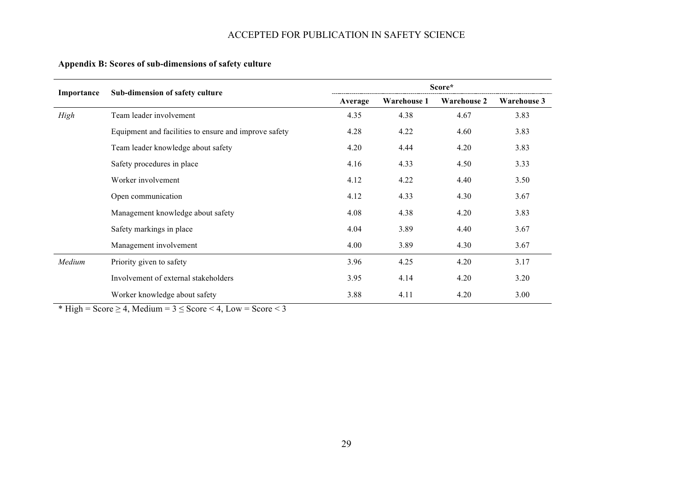| Importance | Sub-dimension of safety culture                       | Score*  |                    |                    |                    |  |
|------------|-------------------------------------------------------|---------|--------------------|--------------------|--------------------|--|
|            |                                                       | Average | <b>Warehouse 1</b> | <b>Warehouse 2</b> | <b>Warehouse 3</b> |  |
| High       | Team leader involvement                               | 4.35    | 4.38               | 4.67               | 3.83               |  |
|            | Equipment and facilities to ensure and improve safety | 4.28    | 4.22               | 4.60               | 3.83               |  |
|            | Team leader knowledge about safety                    | 4.20    | 4.44               | 4.20               | 3.83               |  |
|            | Safety procedures in place                            | 4.16    | 4.33               | 4.50               | 3.33               |  |
|            | Worker involvement                                    | 4.12    | 4.22               | 4.40               | 3.50               |  |
|            | Open communication                                    | 4.12    | 4.33               | 4.30               | 3.67               |  |
|            | Management knowledge about safety                     | 4.08    | 4.38               | 4.20               | 3.83               |  |
|            | Safety markings in place                              | 4.04    | 3.89               | 4.40               | 3.67               |  |
|            | Management involvement                                | 4.00    | 3.89               | 4.30               | 3.67               |  |
| Medium     | Priority given to safety                              | 3.96    | 4.25               | 4.20               | 3.17               |  |
|            | Involvement of external stakeholders                  | 3.95    | 4.14               | 4.20               | 3.20               |  |
|            | Worker knowledge about safety                         | 3.88    | 4.11               | 4.20               | 3.00               |  |

# **Appendix B: Scores of sub-dimensions of safety culture**

\* High = Score  $\geq$  4, Medium = 3  $\leq$  Score  $\leq$  4, Low = Score  $\leq$  3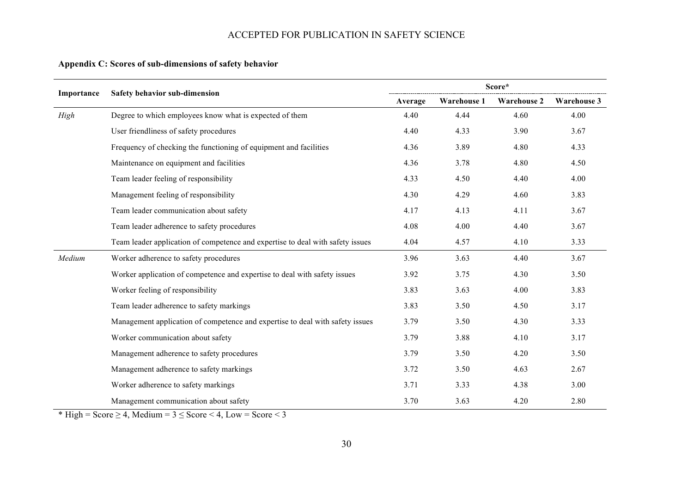|            | Safety behavior sub-dimension                                                  | Score*  |                    |                    |                    |  |
|------------|--------------------------------------------------------------------------------|---------|--------------------|--------------------|--------------------|--|
| Importance |                                                                                | Average | <b>Warehouse 1</b> | <b>Warehouse 2</b> | <b>Warehouse 3</b> |  |
| High       | Degree to which employees know what is expected of them                        | 4.40    | 4.44               | 4.60               | 4.00               |  |
|            | User friendliness of safety procedures                                         | 4.40    | 4.33               | 3.90               | 3.67               |  |
|            | Frequency of checking the functioning of equipment and facilities              | 4.36    | 3.89               | 4.80               | 4.33               |  |
|            | Maintenance on equipment and facilities                                        | 4.36    | 3.78               | 4.80               | 4.50               |  |
|            | Team leader feeling of responsibility                                          | 4.33    | 4.50               | 4.40               | 4.00               |  |
|            | Management feeling of responsibility                                           | 4.30    | 4.29               | 4.60               | 3.83               |  |
|            | Team leader communication about safety                                         | 4.17    | 4.13               | 4.11               | 3.67               |  |
|            | Team leader adherence to safety procedures                                     | 4.08    | 4.00               | 4.40               | 3.67               |  |
|            | Team leader application of competence and expertise to deal with safety issues | 4.04    | 4.57               | 4.10               | 3.33               |  |
| Medium     | Worker adherence to safety procedures                                          | 3.96    | 3.63               | 4.40               | 3.67               |  |
|            | Worker application of competence and expertise to deal with safety issues      | 3.92    | 3.75               | 4.30               | 3.50               |  |
|            | Worker feeling of responsibility                                               | 3.83    | 3.63               | 4.00               | 3.83               |  |
|            | Team leader adherence to safety markings                                       | 3.83    | 3.50               | 4.50               | 3.17               |  |
|            | Management application of competence and expertise to deal with safety issues  | 3.79    | 3.50               | 4.30               | 3.33               |  |
|            | Worker communication about safety                                              | 3.79    | 3.88               | 4.10               | 3.17               |  |
|            | Management adherence to safety procedures                                      | 3.79    | 3.50               | 4.20               | 3.50               |  |
|            | Management adherence to safety markings                                        | 3.72    | 3.50               | 4.63               | 2.67               |  |
|            | Worker adherence to safety markings                                            | 3.71    | 3.33               | 4.38               | 3.00               |  |
|            | Management communication about safety                                          | 3.70    | 3.63               | 4.20               | 2.80               |  |

# **Appendix C: Scores of sub-dimensions of safety behavior**

 $*$  High = Score  $\geq$  4, Medium = 3  $\leq$  Score  $<$  4, Low = Score  $<$  3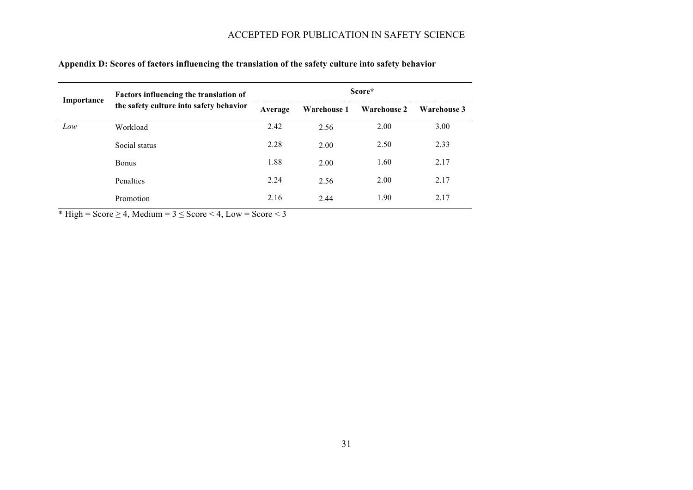|            | Factors influencing the translation of  |         | Score*      |                    |                    |  |
|------------|-----------------------------------------|---------|-------------|--------------------|--------------------|--|
| Importance | the safety culture into safety behavior | Average | Warehouse 1 | <b>Warehouse 2</b> | <b>Warehouse 3</b> |  |
| Low        | Workload                                | 2.42    | 2.56        | 2.00               | 3.00               |  |
|            | Social status                           | 2.28    | 2.00        | 2.50               | 2.33               |  |
|            | <b>Bonus</b>                            | 1.88    | 2.00        | 1.60               | 2.17               |  |
|            | Penalties                               | 2.24    | 2.56        | 2.00               | 2.17               |  |
|            | Promotion                               | 2.16    | 2.44        | 1.90               | 2.17               |  |

# **Appendix D: Scores of factors influencing the translation of the safety culture into safety behavior**

 $\overline{\ast}$  High = Score  $\geq$  4, Medium = 3  $\leq$  Score  $\leq$  4, Low = Score  $\leq$  3